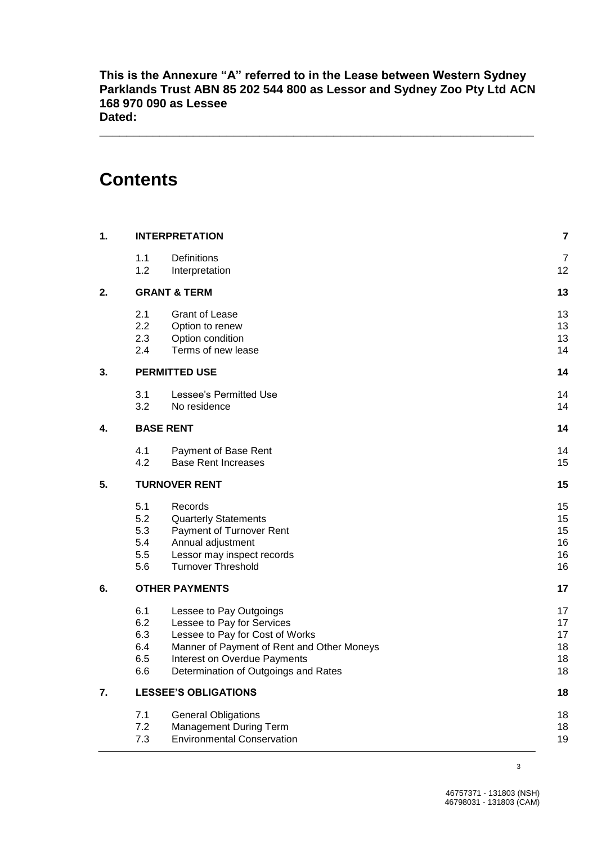**This is the Annexure "A" referred to in the Lease between Western Sydney Parklands Trust ABN 85 202 544 800 as Lessor and Sydney Zoo Pty Ltd ACN 168 970 090 as Lessee Dated:**

**\_\_\_\_\_\_\_\_\_\_\_\_\_\_\_\_\_\_\_\_\_\_\_\_\_\_\_\_\_\_\_\_\_\_\_\_\_\_\_\_\_\_\_\_\_\_\_\_\_\_\_\_\_\_\_\_\_\_\_\_\_\_\_\_\_**

# **Contents**

| 1. |                             | <b>INTERPRETATION</b>                      | 7  |
|----|-----------------------------|--------------------------------------------|----|
|    | 1.1                         | Definitions                                | 7  |
|    | 1.2                         | Interpretation                             | 12 |
| 2. |                             | <b>GRANT &amp; TERM</b>                    | 13 |
|    | 2.1                         | Grant of Lease                             | 13 |
|    | 2.2                         | Option to renew                            | 13 |
|    | 2.3                         | Option condition                           | 13 |
|    | 2.4                         | Terms of new lease                         | 14 |
| 3. |                             | <b>PERMITTED USE</b>                       | 14 |
|    | 3.1                         | Lessee's Permitted Use                     | 14 |
|    | 3.2                         | No residence                               | 14 |
| 4. |                             | <b>BASE RENT</b>                           | 14 |
|    | 4.1                         | Payment of Base Rent                       | 14 |
|    | 4.2                         | <b>Base Rent Increases</b>                 | 15 |
| 5. |                             | <b>TURNOVER RENT</b>                       | 15 |
|    | 5.1                         | Records                                    | 15 |
|    | 5.2                         | <b>Quarterly Statements</b>                | 15 |
|    | 5.3                         | Payment of Turnover Rent                   | 15 |
|    | 5.4                         | Annual adjustment                          | 16 |
|    | 5.5                         | Lessor may inspect records                 | 16 |
|    | 5.6                         | <b>Turnover Threshold</b>                  | 16 |
| 6. |                             | <b>OTHER PAYMENTS</b>                      | 17 |
|    | 6.1                         | Lessee to Pay Outgoings                    | 17 |
|    | 6.2                         | Lessee to Pay for Services                 | 17 |
|    | 6.3                         | Lessee to Pay for Cost of Works            | 17 |
|    | 6.4                         | Manner of Payment of Rent and Other Moneys | 18 |
|    | 6.5                         | Interest on Overdue Payments               | 18 |
|    | 6.6                         | Determination of Outgoings and Rates       | 18 |
| 7. | <b>LESSEE'S OBLIGATIONS</b> |                                            | 18 |
|    | 7.1                         | <b>General Obligations</b>                 | 18 |
|    | 7.2                         | Management During Term                     | 18 |
|    | 7.3                         | <b>Environmental Conservation</b>          | 19 |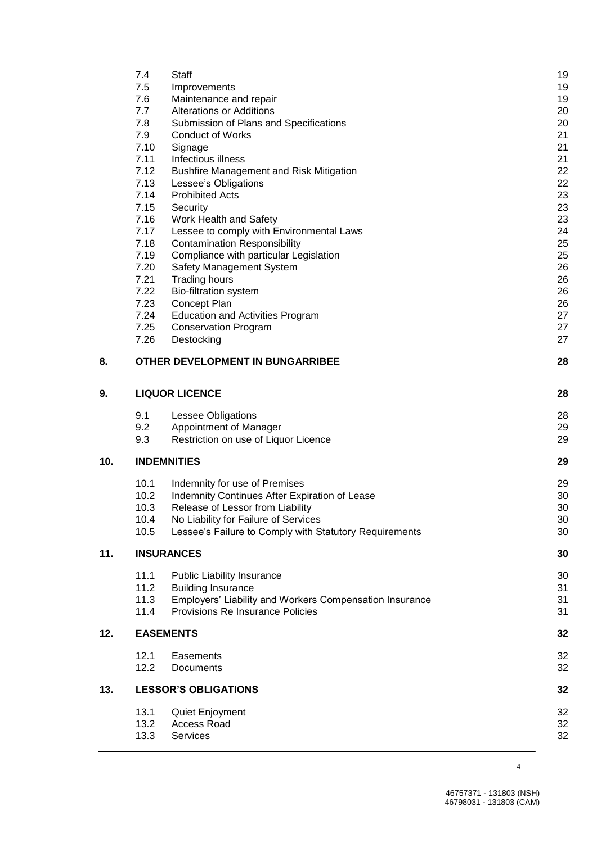|     | 7.4          | Staff                                                                          | 1 <sub>S</sub> |
|-----|--------------|--------------------------------------------------------------------------------|----------------|
|     | 7.5          | Improvements                                                                   | 1 <sup>c</sup> |
|     | 7.6          | Maintenance and repair                                                         | 1 <sub>S</sub> |
|     | 7.7          | <b>Alterations or Additions</b>                                                | 20             |
|     | 7.8          | Submission of Plans and Specifications                                         | 20             |
|     | 7.9          | <b>Conduct of Works</b>                                                        | 21             |
|     | 7.10         | Signage                                                                        | 21             |
|     | 7.11         | Infectious illness                                                             | 21             |
|     | 7.12         | <b>Bushfire Management and Risk Mitigation</b>                                 | 22             |
|     | 7.13         | Lessee's Obligations                                                           | 22             |
|     | 7.14         | <b>Prohibited Acts</b>                                                         | 23             |
|     | 7.15         | Security                                                                       | 23             |
|     | 7.16         | Work Health and Safety                                                         | 23             |
|     | 7.17         | Lessee to comply with Environmental Laws                                       | 24             |
|     | 7.18         | <b>Contamination Responsibility</b>                                            | 25             |
|     | 7.19         | Compliance with particular Legislation                                         | 25             |
|     | 7.20         | Safety Management System                                                       | 26             |
|     | 7.21         | <b>Trading hours</b>                                                           | 26             |
|     | 7.22         | <b>Bio-filtration system</b>                                                   | 26             |
|     | 7.23         | Concept Plan                                                                   | 26             |
|     | 7.24         | <b>Education and Activities Program</b>                                        | 27             |
|     | 7.25         | <b>Conservation Program</b>                                                    | 27             |
|     | 7.26         | Destocking                                                                     | 27             |
| 8.  |              | OTHER DEVELOPMENT IN BUNGARRIBEE                                               | 28             |
| 9.  |              | <b>LIQUOR LICENCE</b>                                                          | 28             |
|     | 9.1          | Lessee Obligations                                                             | 28             |
|     | 9.2          | Appointment of Manager                                                         | 29             |
|     |              |                                                                                |                |
|     |              |                                                                                |                |
|     | 9.3          | Restriction on use of Liquor Licence                                           | 29             |
| 10. |              | <b>INDEMNITIES</b>                                                             | 29             |
|     | 10.1         |                                                                                | 29             |
|     | 10.2         | Indemnity for use of Premises<br>Indemnity Continues After Expiration of Lease | 3 <sub>C</sub> |
|     | 10.3         | Release of Lessor from Liability                                               | 3 <sub>C</sub> |
|     | 10.4         | No Liability for Failure of Services                                           | 3 <sub>C</sub> |
|     | 10.5         | Lessee's Failure to Comply with Statutory Requirements                         | 3 <sub>C</sub> |
| 11. |              | <b>INSURANCES</b>                                                              | 30             |
|     |              |                                                                                |                |
|     | 11.1         | <b>Public Liability Insurance</b>                                              | 3 <sub>C</sub> |
|     | 11.2         | <b>Building Insurance</b>                                                      | 31             |
|     | 11.3         | Employers' Liability and Workers Compensation Insurance                        | 31             |
|     | 11.4         | Provisions Re Insurance Policies                                               | 31             |
| 12. |              | <b>EASEMENTS</b>                                                               | 32             |
|     | 12.1         | Easements                                                                      | 32             |
|     | 12.2         | Documents                                                                      | 32             |
|     |              | <b>LESSOR'S OBLIGATIONS</b>                                                    | 32             |
| 13. |              |                                                                                |                |
|     | 13.1         | Quiet Enjoyment                                                                | 32             |
|     | 13.2<br>13.3 | Access Road<br>Services                                                        | 32<br>32       |

4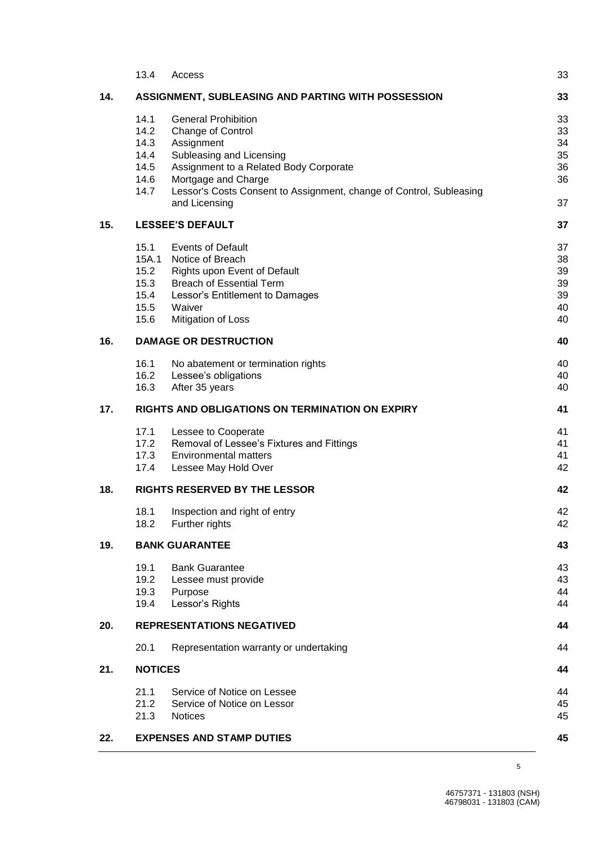|                                             | 13.4                                                  | Access                                                                                                                                                                                                                                             | 33                                                             |
|---------------------------------------------|-------------------------------------------------------|----------------------------------------------------------------------------------------------------------------------------------------------------------------------------------------------------------------------------------------------------|----------------------------------------------------------------|
| 14.                                         |                                                       | ASSIGNMENT, SUBLEASING AND PARTING WITH POSSESSION                                                                                                                                                                                                 | 33                                                             |
|                                             | 14.1<br>14.2<br>14.3<br>14.4<br>14.5<br>14.6<br>14.7  | <b>General Prohibition</b><br>Change of Control<br>Assignment<br>Subleasing and Licensing<br>Assignment to a Related Body Corporate<br>Mortgage and Charge<br>Lessor's Costs Consent to Assignment, change of Control, Subleasing<br>and Licensing | 33<br>33<br>34<br>35<br>36<br>36<br>37                         |
| 15.                                         |                                                       | <b>LESSEE'S DEFAULT</b>                                                                                                                                                                                                                            | 37                                                             |
|                                             | 15.1<br>15A.1<br>15.2<br>15.3<br>15.4<br>15.5<br>15.6 | <b>Events of Default</b><br>Notice of Breach<br>Rights upon Event of Default<br><b>Breach of Essential Term</b><br>Lessor's Entitlement to Damages<br>Waiver<br>Mitigation of Loss                                                                 | 37<br>38<br>39<br>39<br>39<br>4 <sub>C</sub><br>4 <sub>C</sub> |
| 16.                                         | <b>DAMAGE OR DESTRUCTION</b>                          |                                                                                                                                                                                                                                                    |                                                                |
|                                             | 16.1<br>16.2<br>16.3                                  | No abatement or termination rights<br>Lessee's obligations<br>After 35 years                                                                                                                                                                       | 4C<br>40<br>40                                                 |
| 17.                                         |                                                       | RIGHTS AND OBLIGATIONS ON TERMINATION ON EXPIRY                                                                                                                                                                                                    | 41                                                             |
|                                             | 17.1<br>17.2<br>17.3<br>17.4                          | Lessee to Cooperate<br>Removal of Lessee's Fixtures and Fittings<br><b>Environmental matters</b><br>Lessee May Hold Over                                                                                                                           | 41<br>41<br>41<br>42                                           |
| 18.<br><b>RIGHTS RESERVED BY THE LESSOR</b> |                                                       | 42                                                                                                                                                                                                                                                 |                                                                |
|                                             | 18.1<br>18.2                                          | Inspection and right of entry<br>Further rights                                                                                                                                                                                                    | 42<br>42                                                       |
| 19.                                         |                                                       | <b>BANK GUARANTEE</b>                                                                                                                                                                                                                              | 43                                                             |
|                                             | 19.1<br>19.2<br>19.3<br>19.4                          | <b>Bank Guarantee</b><br>Lessee must provide<br>Purpose<br>Lessor's Rights                                                                                                                                                                         | 43<br>43<br>44<br>44                                           |
| 20.                                         |                                                       | <b>REPRESENTATIONS NEGATIVED</b>                                                                                                                                                                                                                   | 44                                                             |
|                                             | 20.1                                                  | Representation warranty or undertaking                                                                                                                                                                                                             | 44                                                             |
| 21.                                         | <b>NOTICES</b>                                        |                                                                                                                                                                                                                                                    | 44                                                             |
|                                             | 21.1<br>21.2<br>21.3                                  | Service of Notice on Lessee<br>Service of Notice on Lessor<br><b>Notices</b>                                                                                                                                                                       | 44<br>45<br>45                                                 |
| 22.                                         |                                                       | <b>EXPENSES AND STAMP DUTIES</b>                                                                                                                                                                                                                   | 45                                                             |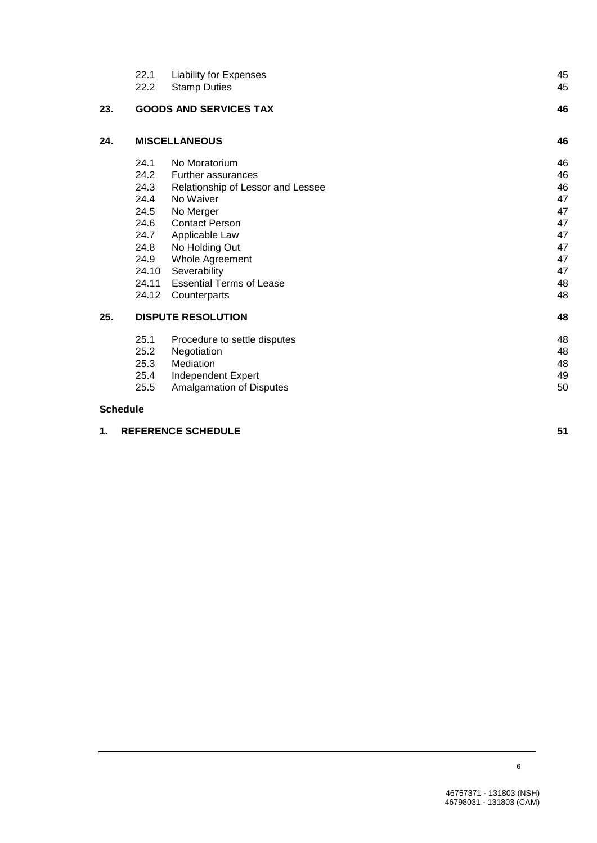|                 | 22.1<br>22.2              | <b>Liability for Expenses</b><br><b>Stamp Duties</b> | 45<br>45 |
|-----------------|---------------------------|------------------------------------------------------|----------|
| 23.             |                           | <b>GOODS AND SERVICES TAX</b>                        | 46       |
| 24.             |                           | <b>MISCELLANEOUS</b>                                 | 46       |
|                 | 24.1                      | No Moratorium                                        | 46       |
|                 | 24.2                      | <b>Further assurances</b>                            | 46       |
|                 | 24.3                      | Relationship of Lessor and Lessee                    | 46       |
|                 | 24.4                      | No Waiver                                            | 47       |
|                 | 24.5                      | No Merger                                            | 47       |
|                 | 24.6                      | <b>Contact Person</b>                                | 47       |
|                 | 24.7                      | Applicable Law                                       | 47       |
|                 | 24.8                      | No Holding Out                                       | 47       |
|                 | 24.9                      | Whole Agreement                                      | 47       |
|                 | 24.10                     | Severability                                         | 47       |
|                 | 24.11                     | <b>Essential Terms of Lease</b>                      | 48       |
|                 | 24.12                     | Counterparts                                         | 48       |
| 25.             | <b>DISPUTE RESOLUTION</b> |                                                      | 48       |
|                 | 25.1                      | Procedure to settle disputes                         | 48       |
|                 | 25.2                      | Negotiation                                          | 48       |
|                 | 25.3                      | Mediation                                            | 48       |
|                 | 25.4                      | Independent Expert                                   | 49       |
|                 | 25.5                      | Amalgamation of Disputes                             | 50       |
| <b>Schedule</b> |                           |                                                      |          |

| 1. REFERENCE SCHEDULE |  |
|-----------------------|--|
|                       |  |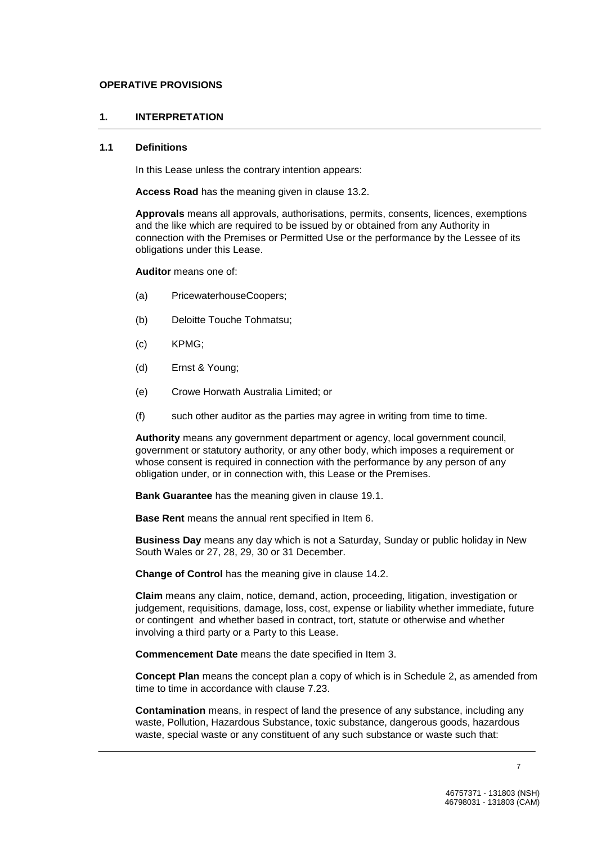#### **OPERATIVE PROVISIONS**

#### **1. INTERPRETATION**

#### **1.1 Definitions**

In this Lease unless the contrary intention appears:

**Access Road** has the meaning given in clause 13.2.

**Approvals** means all approvals, authorisations, permits, consents, licences, exemptions and the like which are required to be issued by or obtained from any Authority in connection with the Premises or Permitted Use or the performance by the Lessee of its obligations under this Lease.

**Auditor** means one of:

- (a) PricewaterhouseCoopers;
- (b) Deloitte Touche Tohmatsu;
- (c) KPMG;
- (d) Ernst & Young;
- (e) Crowe Horwath Australia Limited; or
- (f) such other auditor as the parties may agree in writing from time to time.

**Authority** means any government department or agency, local government council, government or statutory authority, or any other body, which imposes a requirement or whose consent is required in connection with the performance by any person of any obligation under, or in connection with, this Lease or the Premises.

**Bank Guarantee** has the meaning given in clause 19.1.

**Base Rent** means the annual rent specified in Item 6.

**Business Day** means any day which is not a Saturday, Sunday or public holiday in New South Wales or 27, 28, 29, 30 or 31 December.

**Change of Control** has the meaning give in clause 14.2.

**Claim** means any claim, notice, demand, action, proceeding, litigation, investigation or judgement, requisitions, damage, loss, cost, expense or liability whether immediate, future or contingent and whether based in contract, tort, statute or otherwise and whether involving a third party or a Party to this Lease.

**Commencement Date** means the date specified in Item 3.

**Concept Plan** means the concept plan a copy of which is in Schedule 2, as amended from time to time in accordance with clause 7.23.

**Contamination** means, in respect of land the presence of any substance, including any waste, Pollution, Hazardous Substance, toxic substance, dangerous goods, hazardous waste, special waste or any constituent of any such substance or waste such that: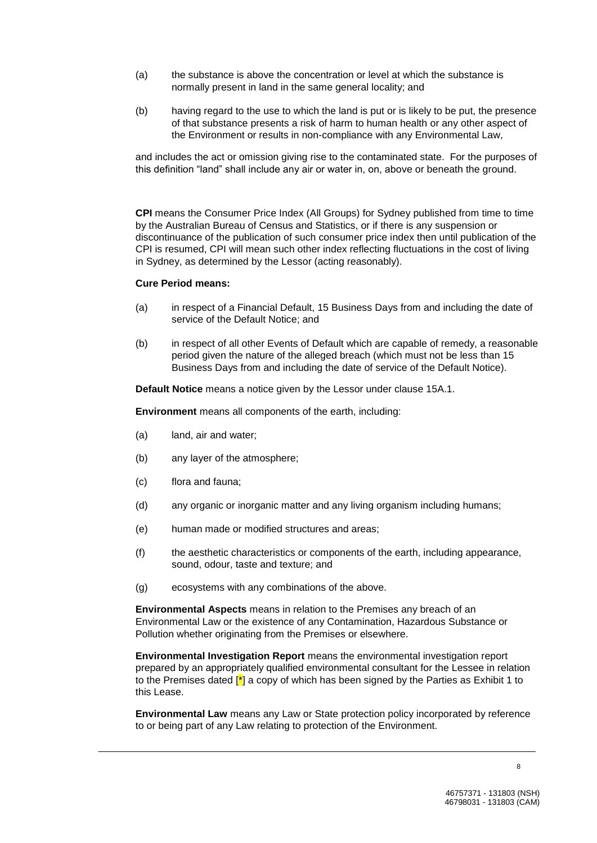- (a) the substance is above the concentration or level at which the substance is normally present in land in the same general locality; and
- (b) having regard to the use to which the land is put or is likely to be put, the presence of that substance presents a risk of harm to human health or any other aspect of the Environment or results in non-compliance with any Environmental Law,

and includes the act or omission giving rise to the contaminated state. For the purposes of this definition "land" shall include any air or water in, on, above or beneath the ground.

**CPI** means the Consumer Price Index (All Groups) for Sydney published from time to time by the Australian Bureau of Census and Statistics, or if there is any suspension or discontinuance of the publication of such consumer price index then until publication of the CPI is resumed, CPI will mean such other index reflecting fluctuations in the cost of living in Sydney, as determined by the Lessor (acting reasonably).

#### **Cure Period means:**

- (a) in respect of a Financial Default, 15 Business Days from and including the date of service of the Default Notice; and
- (b) in respect of all other Events of Default which are capable of remedy, a reasonable period given the nature of the alleged breach (which must not be less than 15 Business Days from and including the date of service of the Default Notice).

**Default Notice** means a notice given by the Lessor under clause 15A.1.

**Environment** means all components of the earth, including:

- (a) land, air and water;
- (b) any layer of the atmosphere;
- (c) flora and fauna;
- (d) any organic or inorganic matter and any living organism including humans;
- (e) human made or modified structures and areas;
- (f) the aesthetic characteristics or components of the earth, including appearance, sound, odour, taste and texture; and
- (g) ecosystems with any combinations of the above.

**Environmental Aspects** means in relation to the Premises any breach of an Environmental Law or the existence of any Contamination, Hazardous Substance or Pollution whether originating from the Premises or elsewhere.

**Environmental Investigation Report** means the environmental investigation report prepared by an appropriately qualified environmental consultant for the Lessee in relation to the Premises dated  $\mathbb{I}^*$  a copy of which has been signed by the Parties as Exhibit 1 to this Lease.

**Environmental Law** means any Law or State protection policy incorporated by reference to or being part of any Law relating to protection of the Environment.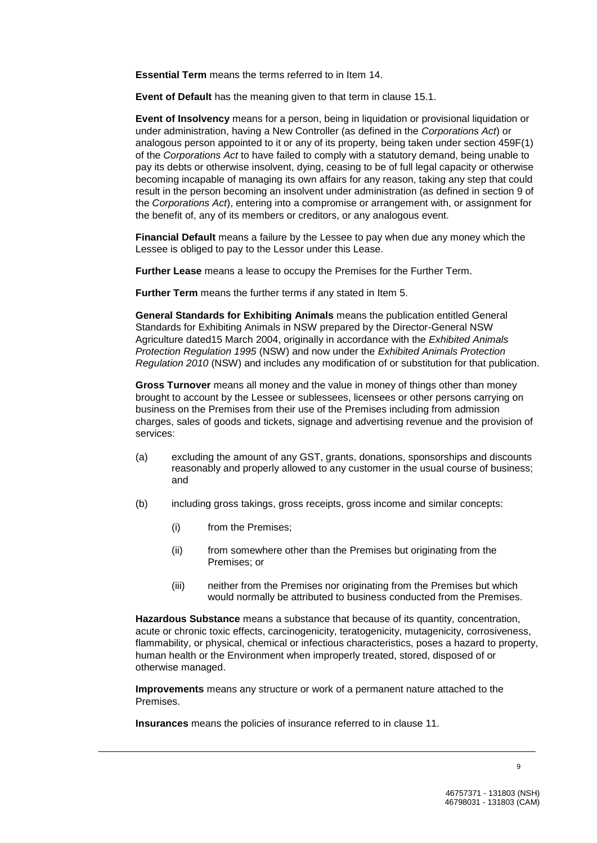**Essential Term** means the terms referred to in Item 14.

**Event of Default** has the meaning given to that term in clause 15.1.

**Event of Insolvency** means for a person, being in liquidation or provisional liquidation or under administration, having a New Controller (as defined in the *Corporations Act*) or analogous person appointed to it or any of its property, being taken under section 459F(1) of the *Corporations Act* to have failed to comply with a statutory demand, being unable to pay its debts or otherwise insolvent, dying, ceasing to be of full legal capacity or otherwise becoming incapable of managing its own affairs for any reason, taking any step that could result in the person becoming an insolvent under administration (as defined in section 9 of the *Corporations Act*), entering into a compromise or arrangement with, or assignment for the benefit of, any of its members or creditors, or any analogous event.

**Financial Default** means a failure by the Lessee to pay when due any money which the Lessee is obliged to pay to the Lessor under this Lease.

**Further Lease** means a lease to occupy the Premises for the Further Term.

**Further Term** means the further terms if any stated in Item 5.

**General Standards for Exhibiting Animals** means the publication entitled General Standards for Exhibiting Animals in NSW prepared by the Director-General NSW Agriculture dated15 March 2004, originally in accordance with the *Exhibited Animals Protection Regulation 1995* (NSW) and now under the *Exhibited Animals Protection Regulation 2010* (NSW) and includes any modification of or substitution for that publication.

**Gross Turnover** means all money and the value in money of things other than money brought to account by the Lessee or sublessees, licensees or other persons carrying on business on the Premises from their use of the Premises including from admission charges, sales of goods and tickets, signage and advertising revenue and the provision of services:

- (a) excluding the amount of any GST, grants, donations, sponsorships and discounts reasonably and properly allowed to any customer in the usual course of business; and
- (b) including gross takings, gross receipts, gross income and similar concepts:
	- (i) from the Premises;
	- (ii) from somewhere other than the Premises but originating from the Premises; or
	- (iii) neither from the Premises nor originating from the Premises but which would normally be attributed to business conducted from the Premises.

**Hazardous Substance** means a substance that because of its quantity, concentration, acute or chronic toxic effects, carcinogenicity, teratogenicity, mutagenicity, corrosiveness, flammability, or physical, chemical or infectious characteristics, poses a hazard to property, human health or the Environment when improperly treated, stored, disposed of or otherwise managed.

**Improvements** means any structure or work of a permanent nature attached to the Premises.

**Insurances** means the policies of insurance referred to in clause 11.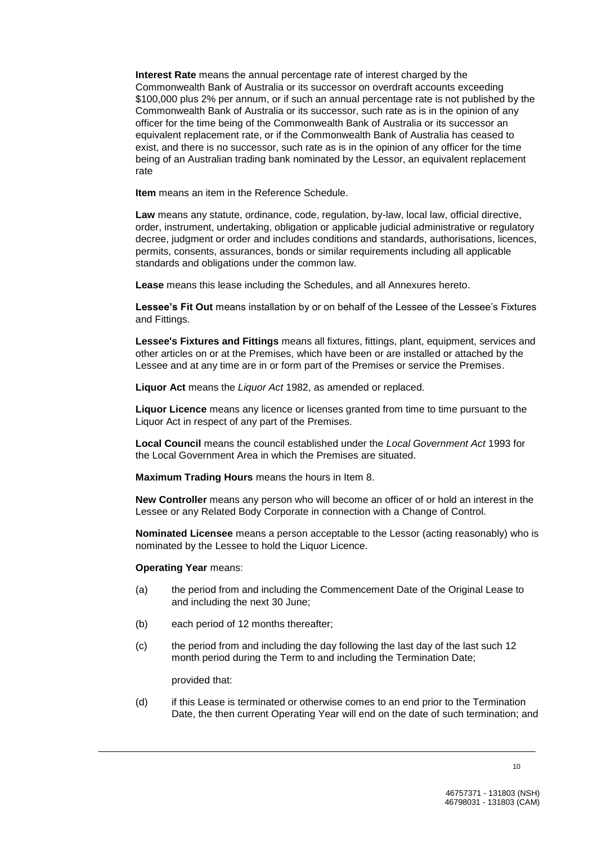**Interest Rate** means the annual percentage rate of interest charged by the Commonwealth Bank of Australia or its successor on overdraft accounts exceeding \$100,000 plus 2% per annum, or if such an annual percentage rate is not published by the Commonwealth Bank of Australia or its successor, such rate as is in the opinion of any officer for the time being of the Commonwealth Bank of Australia or its successor an equivalent replacement rate, or if the Commonwealth Bank of Australia has ceased to exist, and there is no successor, such rate as is in the opinion of any officer for the time being of an Australian trading bank nominated by the Lessor, an equivalent replacement rate

**Item** means an item in the Reference Schedule.

**Law** means any statute, ordinance, code, regulation, by-law, local law, official directive, order, instrument, undertaking, obligation or applicable judicial administrative or regulatory decree, judgment or order and includes conditions and standards, authorisations, licences, permits, consents, assurances, bonds or similar requirements including all applicable standards and obligations under the common law.

**Lease** means this lease including the Schedules, and all Annexures hereto.

Lessee's Fit Out means installation by or on behalf of the Lessee of the Lessee's Fixtures and Fittings.

**Lessee's Fixtures and Fittings** means all fixtures, fittings, plant, equipment, services and other articles on or at the Premises, which have been or are installed or attached by the Lessee and at any time are in or form part of the Premises or service the Premises.

**Liquor Act** means the *Liquor Act* 1982, as amended or replaced.

**Liquor Licence** means any licence or licenses granted from time to time pursuant to the Liquor Act in respect of any part of the Premises.

**Local Council** means the council established under the *Local Government Act* 1993 for the Local Government Area in which the Premises are situated.

**Maximum Trading Hours** means the hours in Item 8.

**New Controller** means any person who will become an officer of or hold an interest in the Lessee or any Related Body Corporate in connection with a Change of Control.

**Nominated Licensee** means a person acceptable to the Lessor (acting reasonably) who is nominated by the Lessee to hold the Liquor Licence.

#### **Operating Year** means:

- (a) the period from and including the Commencement Date of the Original Lease to and including the next 30 June;
- (b) each period of 12 months thereafter;
- (c) the period from and including the day following the last day of the last such 12 month period during the Term to and including the Termination Date;

provided that:

(d) if this Lease is terminated or otherwise comes to an end prior to the Termination Date, the then current Operating Year will end on the date of such termination; and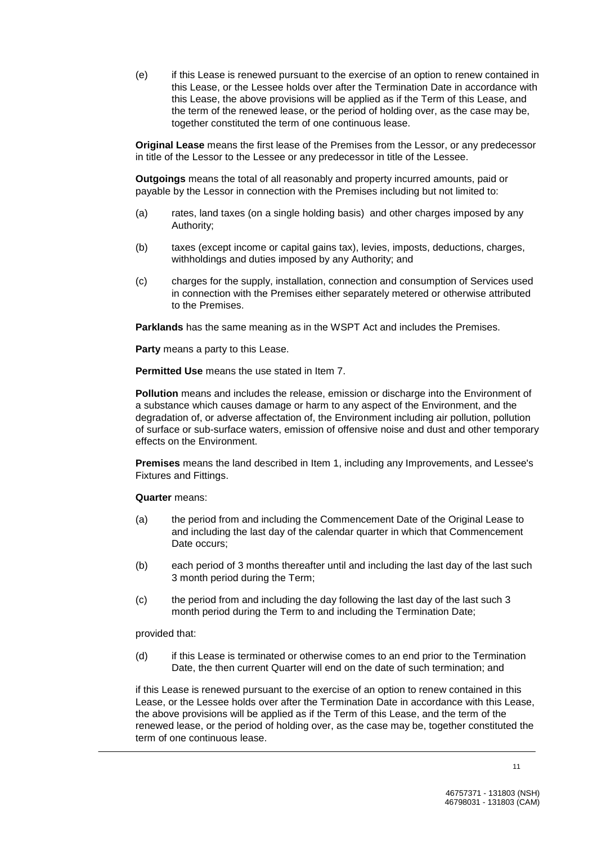(e) if this Lease is renewed pursuant to the exercise of an option to renew contained in this Lease, or the Lessee holds over after the Termination Date in accordance with this Lease, the above provisions will be applied as if the Term of this Lease, and the term of the renewed lease, or the period of holding over, as the case may be, together constituted the term of one continuous lease.

**Original Lease** means the first lease of the Premises from the Lessor, or any predecessor in title of the Lessor to the Lessee or any predecessor in title of the Lessee.

**Outgoings** means the total of all reasonably and property incurred amounts, paid or payable by the Lessor in connection with the Premises including but not limited to:

- (a) rates, land taxes (on a single holding basis) and other charges imposed by any Authority;
- (b) taxes (except income or capital gains tax), levies, imposts, deductions, charges, withholdings and duties imposed by any Authority; and
- (c) charges for the supply, installation, connection and consumption of Services used in connection with the Premises either separately metered or otherwise attributed to the Premises.

**Parklands** has the same meaning as in the WSPT Act and includes the Premises.

**Party** means a party to this Lease.

**Permitted Use** means the use stated in Item 7.

**Pollution** means and includes the release, emission or discharge into the Environment of a substance which causes damage or harm to any aspect of the Environment, and the degradation of, or adverse affectation of, the Environment including air pollution, pollution of surface or sub-surface waters, emission of offensive noise and dust and other temporary effects on the Environment.

**Premises** means the land described in Item 1, including any Improvements, and Lessee's Fixtures and Fittings.

#### **Quarter** means:

- (a) the period from and including the Commencement Date of the Original Lease to and including the last day of the calendar quarter in which that Commencement Date occurs:
- (b) each period of 3 months thereafter until and including the last day of the last such 3 month period during the Term;
- (c) the period from and including the day following the last day of the last such 3 month period during the Term to and including the Termination Date;

provided that:

(d) if this Lease is terminated or otherwise comes to an end prior to the Termination Date, the then current Quarter will end on the date of such termination; and

if this Lease is renewed pursuant to the exercise of an option to renew contained in this Lease, or the Lessee holds over after the Termination Date in accordance with this Lease, the above provisions will be applied as if the Term of this Lease, and the term of the renewed lease, or the period of holding over, as the case may be, together constituted the term of one continuous lease.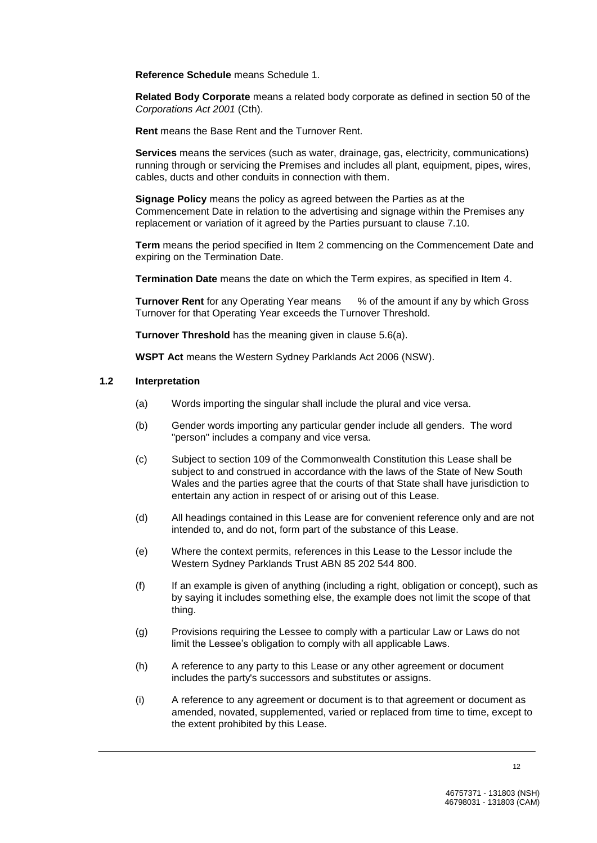**Reference Schedule** means Schedule 1.

**Related Body Corporate** means a related body corporate as defined in section 50 of the *Corporations Act 2001* (Cth).

**Rent** means the Base Rent and the Turnover Rent.

**Services** means the services (such as water, drainage, gas, electricity, communications) running through or servicing the Premises and includes all plant, equipment, pipes, wires, cables, ducts and other conduits in connection with them.

**Signage Policy** means the policy as agreed between the Parties as at the Commencement Date in relation to the advertising and signage within the Premises any replacement or variation of it agreed by the Parties pursuant to clause 7.10.

**Term** means the period specified in Item 2 commencing on the Commencement Date and expiring on the Termination Date.

**Termination Date** means the date on which the Term expires, as specified in Item 4.

**Turnover Rent** for any Operating Year means  $\%$  of the amount if any by which Gross Turnover for that Operating Year exceeds the Turnover Threshold.

**Turnover Threshold** has the meaning given in clause 5.6(a).

**WSPT Act** means the Western Sydney Parklands Act 2006 (NSW).

#### **1.2 Interpretation**

- (a) Words importing the singular shall include the plural and vice versa.
- (b) Gender words importing any particular gender include all genders. The word "person" includes a company and vice versa.
- (c) Subject to section 109 of the Commonwealth Constitution this Lease shall be subject to and construed in accordance with the laws of the State of New South Wales and the parties agree that the courts of that State shall have jurisdiction to entertain any action in respect of or arising out of this Lease.
- (d) All headings contained in this Lease are for convenient reference only and are not intended to, and do not, form part of the substance of this Lease.
- (e) Where the context permits, references in this Lease to the Lessor include the Western Sydney Parklands Trust ABN 85 202 544 800.
- (f) If an example is given of anything (including a right, obligation or concept), such as by saying it includes something else, the example does not limit the scope of that thing.
- (g) Provisions requiring the Lessee to comply with a particular Law or Laws do not limit the Lessee's obligation to comply with all applicable Laws.
- (h) A reference to any party to this Lease or any other agreement or document includes the party's successors and substitutes or assigns.
- (i) A reference to any agreement or document is to that agreement or document as amended, novated, supplemented, varied or replaced from time to time, except to the extent prohibited by this Lease.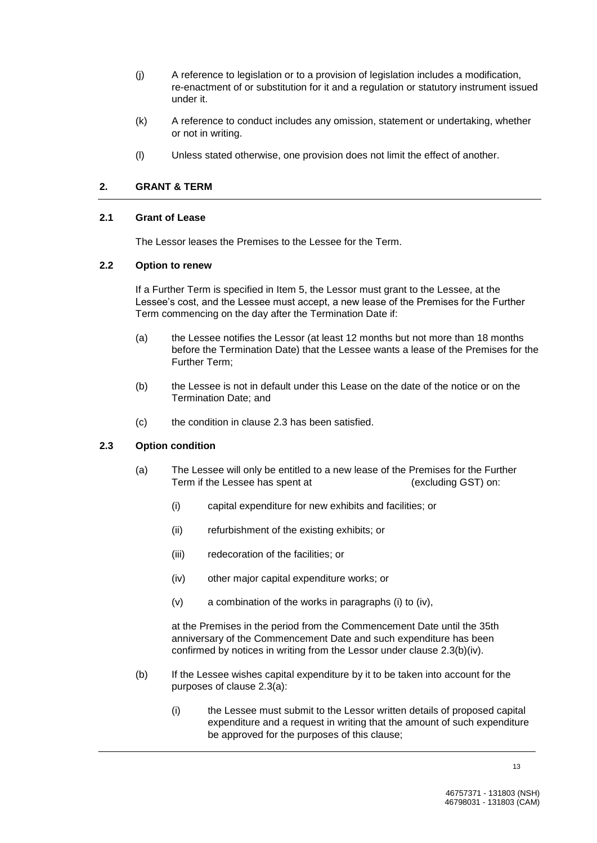- (j) A reference to legislation or to a provision of legislation includes a modification, re-enactment of or substitution for it and a regulation or statutory instrument issued under it.
- (k) A reference to conduct includes any omission, statement or undertaking, whether or not in writing.
- (l) Unless stated otherwise, one provision does not limit the effect of another.

## **2. GRANT & TERM**

#### **2.1 Grant of Lease**

The Lessor leases the Premises to the Lessee for the Term.

#### **2.2 Option to renew**

If a Further Term is specified in Item 5, the Lessor must grant to the Lessee, at the Lessee's cost, and the Lessee must accept, a new lease of the Premises for the Further Term commencing on the day after the Termination Date if:

- (a) the Lessee notifies the Lessor (at least 12 months but not more than 18 months before the Termination Date) that the Lessee wants a lease of the Premises for the Further Term;
- (b) the Lessee is not in default under this Lease on the date of the notice or on the Termination Date; and
- (c) the condition in clause 2.3 has been satisfied.

## **2.3 Option condition**

- (a) The Lessee will only be entitled to a new lease of the Premises for the Further Term if the Lessee has spent at  $(excluding GST)$  on:
	- (i) capital expenditure for new exhibits and facilities; or
	- (ii) refurbishment of the existing exhibits; or
	- (iii) redecoration of the facilities; or
	- (iv) other major capital expenditure works; or
	- (v) a combination of the works in paragraphs (i) to (iv),

at the Premises in the period from the Commencement Date until the 35th anniversary of the Commencement Date and such expenditure has been confirmed by notices in writing from the Lessor under clause 2.3(b)(iv).

- (b) If the Lessee wishes capital expenditure by it to be taken into account for the purposes of clause 2.3(a):
	- (i) the Lessee must submit to the Lessor written details of proposed capital expenditure and a request in writing that the amount of such expenditure be approved for the purposes of this clause;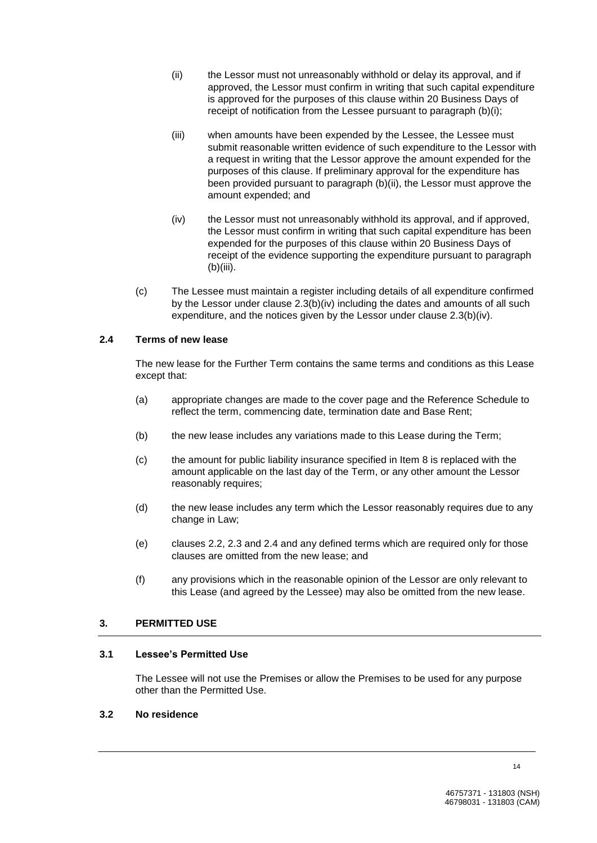- (ii) the Lessor must not unreasonably withhold or delay its approval, and if approved, the Lessor must confirm in writing that such capital expenditure is approved for the purposes of this clause within 20 Business Days of receipt of notification from the Lessee pursuant to paragraph (b)(i);
- (iii) when amounts have been expended by the Lessee, the Lessee must submit reasonable written evidence of such expenditure to the Lessor with a request in writing that the Lessor approve the amount expended for the purposes of this clause. If preliminary approval for the expenditure has been provided pursuant to paragraph (b)(ii), the Lessor must approve the amount expended; and
- (iv) the Lessor must not unreasonably withhold its approval, and if approved, the Lessor must confirm in writing that such capital expenditure has been expended for the purposes of this clause within 20 Business Days of receipt of the evidence supporting the expenditure pursuant to paragraph (b)(iii).
- (c) The Lessee must maintain a register including details of all expenditure confirmed by the Lessor under clause 2.3(b)(iv) including the dates and amounts of all such expenditure, and the notices given by the Lessor under clause 2.3(b)(iv).

## **2.4 Terms of new lease**

The new lease for the Further Term contains the same terms and conditions as this Lease except that:

- (a) appropriate changes are made to the cover page and the Reference Schedule to reflect the term, commencing date, termination date and Base Rent;
- (b) the new lease includes any variations made to this Lease during the Term;
- (c) the amount for public liability insurance specified in Item 8 is replaced with the amount applicable on the last day of the Term, or any other amount the Lessor reasonably requires;
- (d) the new lease includes any term which the Lessor reasonably requires due to any change in Law;
- (e) clauses 2.2, 2.3 and 2.4 and any defined terms which are required only for those clauses are omitted from the new lease; and
- (f) any provisions which in the reasonable opinion of the Lessor are only relevant to this Lease (and agreed by the Lessee) may also be omitted from the new lease.

## **3. PERMITTED USE**

## **3.1 Lessee's Permitted Use**

The Lessee will not use the Premises or allow the Premises to be used for any purpose other than the Permitted Use.

## **3.2 No residence**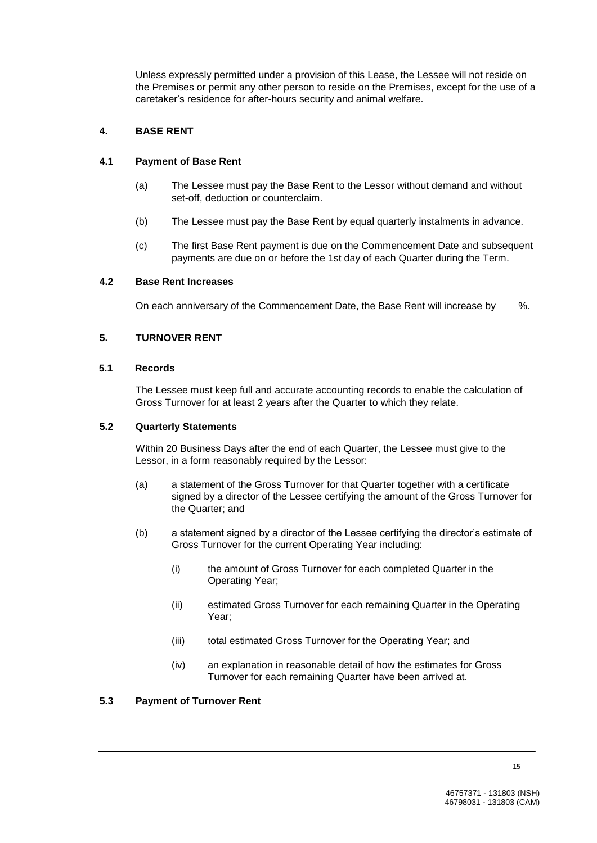Unless expressly permitted under a provision of this Lease, the Lessee will not reside on the Premises or permit any other person to reside on the Premises, except for the use of a caretaker's residence for after-hours security and animal welfare.

# **4. BASE RENT**

#### **4.1 Payment of Base Rent**

- (a) The Lessee must pay the Base Rent to the Lessor without demand and without set-off, deduction or counterclaim.
- (b) The Lessee must pay the Base Rent by equal quarterly instalments in advance.
- (c) The first Base Rent payment is due on the Commencement Date and subsequent payments are due on or before the 1st day of each Quarter during the Term.

#### **4.2 Base Rent Increases**

On each anniversary of the Commencement Date, the Base Rent will increase by %.

## **5. TURNOVER RENT**

#### **5.1 Records**

The Lessee must keep full and accurate accounting records to enable the calculation of Gross Turnover for at least 2 years after the Quarter to which they relate.

## **5.2 Quarterly Statements**

Within 20 Business Days after the end of each Quarter, the Lessee must give to the Lessor, in a form reasonably required by the Lessor:

- (a) a statement of the Gross Turnover for that Quarter together with a certificate signed by a director of the Lessee certifying the amount of the Gross Turnover for the Quarter; and
- (b) a statement signed by a director of the Lessee certifying the director's estimate of Gross Turnover for the current Operating Year including:
	- (i) the amount of Gross Turnover for each completed Quarter in the Operating Year;
	- (ii) estimated Gross Turnover for each remaining Quarter in the Operating Year;
	- (iii) total estimated Gross Turnover for the Operating Year; and
	- (iv) an explanation in reasonable detail of how the estimates for Gross Turnover for each remaining Quarter have been arrived at.

#### **5.3 Payment of Turnover Rent**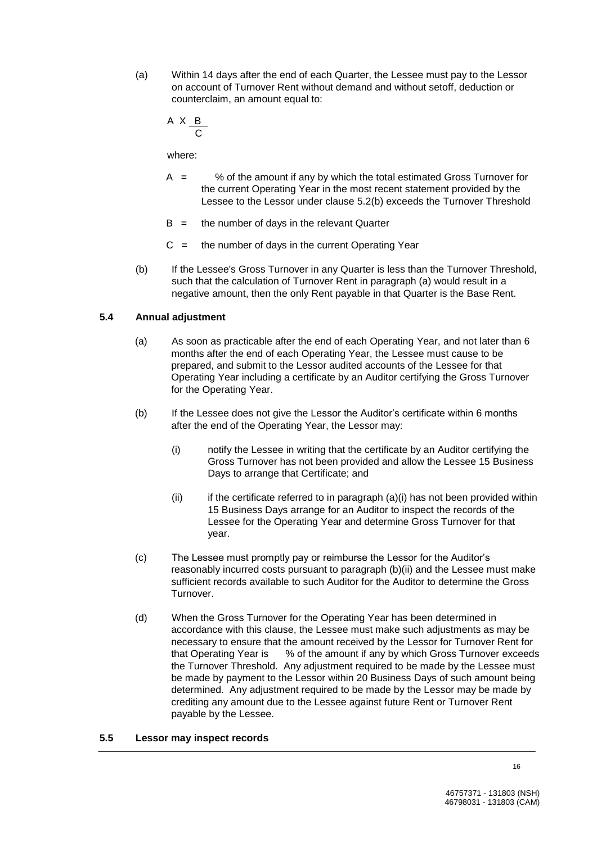(a) Within 14 days after the end of each Quarter, the Lessee must pay to the Lessor on account of Turnover Rent without demand and without setoff, deduction or counterclaim, an amount equal to:

$$
A \times \underbrace{B}_{C}
$$

where:

- $A =$  % of the amount if any by which the total estimated Gross Turnover for the current Operating Year in the most recent statement provided by the Lessee to the Lessor under clause 5.2(b) exceeds the Turnover Threshold
- $B =$  the number of days in the relevant Quarter
- $C =$  the number of days in the current Operating Year
- (b) If the Lessee's Gross Turnover in any Quarter is less than the Turnover Threshold, such that the calculation of Turnover Rent in paragraph (a) would result in a negative amount, then the only Rent payable in that Quarter is the Base Rent.

## **5.4 Annual adjustment**

- (a) As soon as practicable after the end of each Operating Year, and not later than 6 months after the end of each Operating Year, the Lessee must cause to be prepared, and submit to the Lessor audited accounts of the Lessee for that Operating Year including a certificate by an Auditor certifying the Gross Turnover for the Operating Year.
- (b) If the Lessee does not give the Lessor the Auditor's certificate within 6 months after the end of the Operating Year, the Lessor may:
	- (i) notify the Lessee in writing that the certificate by an Auditor certifying the Gross Turnover has not been provided and allow the Lessee 15 Business Days to arrange that Certificate; and
	- (ii) if the certificate referred to in paragraph  $(a)(i)$  has not been provided within 15 Business Days arrange for an Auditor to inspect the records of the Lessee for the Operating Year and determine Gross Turnover for that year.
- (c) The Lessee must promptly pay or reimburse the Lessor for the Auditor's reasonably incurred costs pursuant to paragraph (b)(ii) and the Lessee must make sufficient records available to such Auditor for the Auditor to determine the Gross Turnover.
- (d) When the Gross Turnover for the Operating Year has been determined in accordance with this clause, the Lessee must make such adjustments as may be necessary to ensure that the amount received by the Lessor for Turnover Rent for that Operating Year is % of the amount if any by which Gross Turnover exceeds the Turnover Threshold. Any adjustment required to be made by the Lessee must be made by payment to the Lessor within 20 Business Days of such amount being determined. Any adjustment required to be made by the Lessor may be made by crediting any amount due to the Lessee against future Rent or Turnover Rent payable by the Lessee.

#### **5.5 Lessor may inspect records**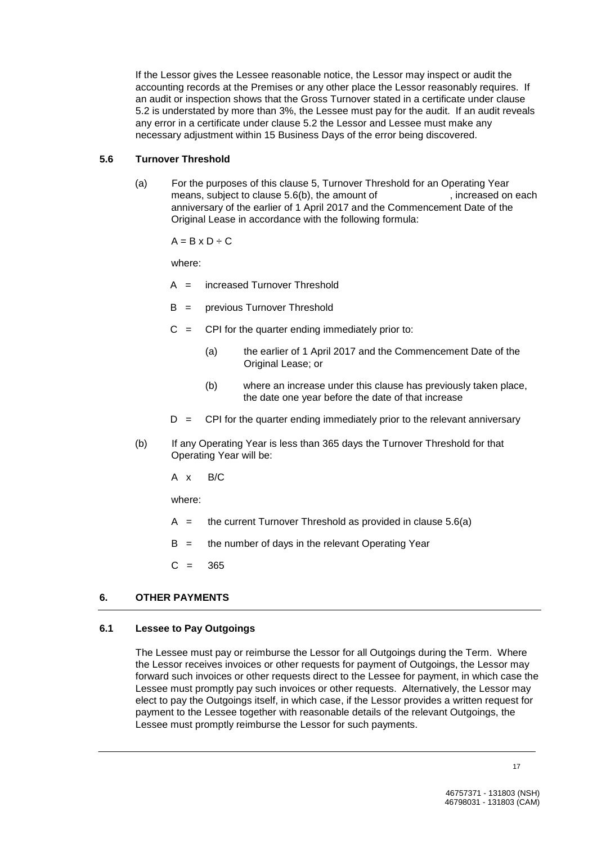If the Lessor gives the Lessee reasonable notice, the Lessor may inspect or audit the accounting records at the Premises or any other place the Lessor reasonably requires. If an audit or inspection shows that the Gross Turnover stated in a certificate under clause 5.2 is understated by more than 3%, the Lessee must pay for the audit. If an audit reveals any error in a certificate under clause 5.2 the Lessor and Lessee must make any necessary adjustment within 15 Business Days of the error being discovered.

## **5.6 Turnover Threshold**

(a) For the purposes of this clause 5, Turnover Threshold for an Operating Year means, subject to clause  $5.6(b)$ , the amount of  $\overline{2000}$ , increased on each anniversary of the earlier of 1 April 2017 and the Commencement Date of the Original Lease in accordance with the following formula:

 $A = B \times D \div C$ 

where:

- A = increased Turnover Threshold
- B = previous Turnover Threshold
- $C = CPI$  for the quarter ending immediately prior to:
	- (a) the earlier of 1 April 2017 and the Commencement Date of the Original Lease; or
	- (b) where an increase under this clause has previously taken place, the date one year before the date of that increase
- $D =$  CPI for the quarter ending immediately prior to the relevant anniversary
- (b) If any Operating Year is less than 365 days the Turnover Threshold for that Operating Year will be:
	- A x B/C

where:

- $A =$  the current Turnover Threshold as provided in clause 5.6(a)
- $B =$  the number of days in the relevant Operating Year
- $C = 365$

## **6. OTHER PAYMENTS**

#### **6.1 Lessee to Pay Outgoings**

The Lessee must pay or reimburse the Lessor for all Outgoings during the Term. Where the Lessor receives invoices or other requests for payment of Outgoings, the Lessor may forward such invoices or other requests direct to the Lessee for payment, in which case the Lessee must promptly pay such invoices or other requests. Alternatively, the Lessor may elect to pay the Outgoings itself, in which case, if the Lessor provides a written request for payment to the Lessee together with reasonable details of the relevant Outgoings, the Lessee must promptly reimburse the Lessor for such payments.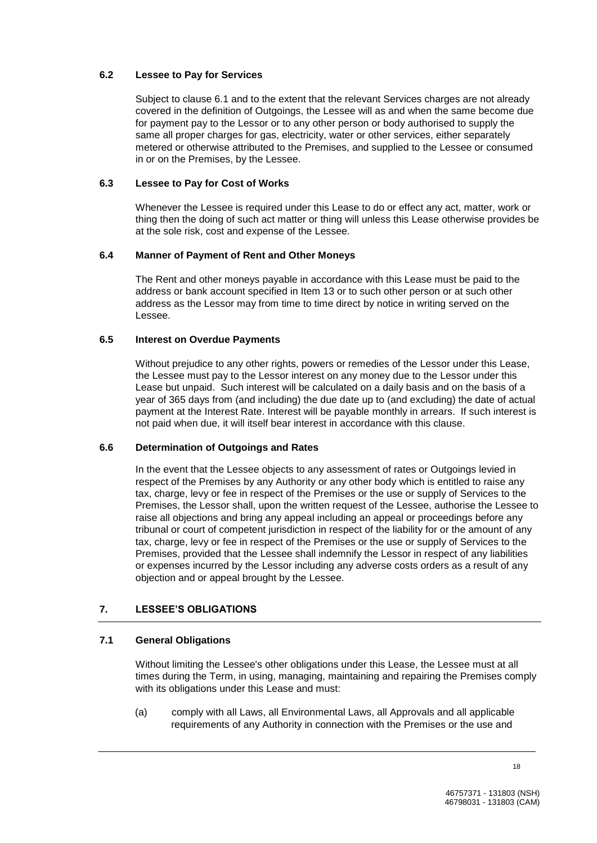## **6.2 Lessee to Pay for Services**

Subject to clause 6.1 and to the extent that the relevant Services charges are not already covered in the definition of Outgoings, the Lessee will as and when the same become due for payment pay to the Lessor or to any other person or body authorised to supply the same all proper charges for gas, electricity, water or other services, either separately metered or otherwise attributed to the Premises, and supplied to the Lessee or consumed in or on the Premises, by the Lessee.

# **6.3 Lessee to Pay for Cost of Works**

Whenever the Lessee is required under this Lease to do or effect any act, matter, work or thing then the doing of such act matter or thing will unless this Lease otherwise provides be at the sole risk, cost and expense of the Lessee.

# **6.4 Manner of Payment of Rent and Other Moneys**

The Rent and other moneys payable in accordance with this Lease must be paid to the address or bank account specified in Item 13 or to such other person or at such other address as the Lessor may from time to time direct by notice in writing served on the Lessee.

# **6.5 Interest on Overdue Payments**

Without prejudice to any other rights, powers or remedies of the Lessor under this Lease, the Lessee must pay to the Lessor interest on any money due to the Lessor under this Lease but unpaid. Such interest will be calculated on a daily basis and on the basis of a year of 365 days from (and including) the due date up to (and excluding) the date of actual payment at the Interest Rate. Interest will be payable monthly in arrears. If such interest is not paid when due, it will itself bear interest in accordance with this clause.

## **6.6 Determination of Outgoings and Rates**

In the event that the Lessee objects to any assessment of rates or Outgoings levied in respect of the Premises by any Authority or any other body which is entitled to raise any tax, charge, levy or fee in respect of the Premises or the use or supply of Services to the Premises, the Lessor shall, upon the written request of the Lessee, authorise the Lessee to raise all objections and bring any appeal including an appeal or proceedings before any tribunal or court of competent jurisdiction in respect of the liability for or the amount of any tax, charge, levy or fee in respect of the Premises or the use or supply of Services to the Premises, provided that the Lessee shall indemnify the Lessor in respect of any liabilities or expenses incurred by the Lessor including any adverse costs orders as a result of any objection and or appeal brought by the Lessee.

# **7. LESSEE'S OBLIGATIONS**

## **7.1 General Obligations**

Without limiting the Lessee's other obligations under this Lease, the Lessee must at all times during the Term, in using, managing, maintaining and repairing the Premises comply with its obligations under this Lease and must:

(a) comply with all Laws, all Environmental Laws, all Approvals and all applicable requirements of any Authority in connection with the Premises or the use and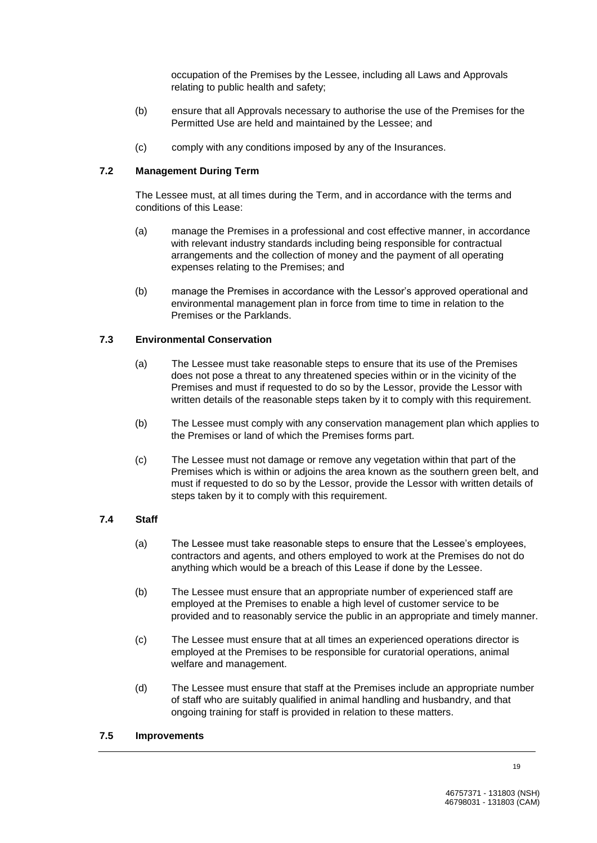occupation of the Premises by the Lessee, including all Laws and Approvals relating to public health and safety;

- (b) ensure that all Approvals necessary to authorise the use of the Premises for the Permitted Use are held and maintained by the Lessee; and
- (c) comply with any conditions imposed by any of the Insurances.

#### **7.2 Management During Term**

The Lessee must, at all times during the Term, and in accordance with the terms and conditions of this Lease:

- (a) manage the Premises in a professional and cost effective manner, in accordance with relevant industry standards including being responsible for contractual arrangements and the collection of money and the payment of all operating expenses relating to the Premises; and
- (b) manage the Premises in accordance with the Lessor's approved operational and environmental management plan in force from time to time in relation to the Premises or the Parklands.

## **7.3 Environmental Conservation**

- (a) The Lessee must take reasonable steps to ensure that its use of the Premises does not pose a threat to any threatened species within or in the vicinity of the Premises and must if requested to do so by the Lessor, provide the Lessor with written details of the reasonable steps taken by it to comply with this requirement.
- (b) The Lessee must comply with any conservation management plan which applies to the Premises or land of which the Premises forms part.
- (c) The Lessee must not damage or remove any vegetation within that part of the Premises which is within or adjoins the area known as the southern green belt, and must if requested to do so by the Lessor, provide the Lessor with written details of steps taken by it to comply with this requirement.

#### **7.4 Staff**

- (a) The Lessee must take reasonable steps to ensure that the Lessee's employees, contractors and agents, and others employed to work at the Premises do not do anything which would be a breach of this Lease if done by the Lessee.
- (b) The Lessee must ensure that an appropriate number of experienced staff are employed at the Premises to enable a high level of customer service to be provided and to reasonably service the public in an appropriate and timely manner.
- (c) The Lessee must ensure that at all times an experienced operations director is employed at the Premises to be responsible for curatorial operations, animal welfare and management.
- (d) The Lessee must ensure that staff at the Premises include an appropriate number of staff who are suitably qualified in animal handling and husbandry, and that ongoing training for staff is provided in relation to these matters.

#### **7.5 Improvements**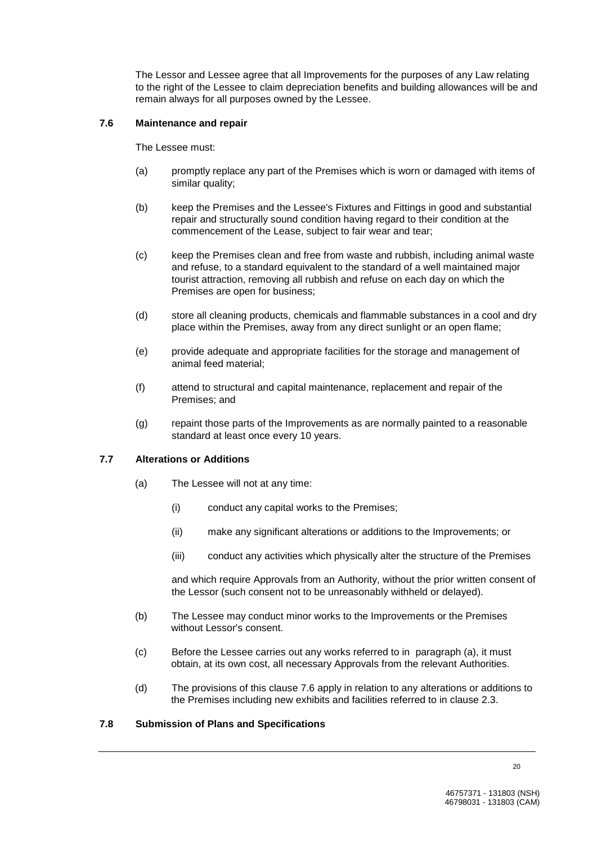The Lessor and Lessee agree that all Improvements for the purposes of any Law relating to the right of the Lessee to claim depreciation benefits and building allowances will be and remain always for all purposes owned by the Lessee.

#### **7.6 Maintenance and repair**

The Lessee must:

- (a) promptly replace any part of the Premises which is worn or damaged with items of similar quality;
- (b) keep the Premises and the Lessee's Fixtures and Fittings in good and substantial repair and structurally sound condition having regard to their condition at the commencement of the Lease, subject to fair wear and tear;
- (c) keep the Premises clean and free from waste and rubbish, including animal waste and refuse, to a standard equivalent to the standard of a well maintained major tourist attraction, removing all rubbish and refuse on each day on which the Premises are open for business;
- (d) store all cleaning products, chemicals and flammable substances in a cool and dry place within the Premises, away from any direct sunlight or an open flame;
- (e) provide adequate and appropriate facilities for the storage and management of animal feed material;
- (f) attend to structural and capital maintenance, replacement and repair of the Premises; and
- (g) repaint those parts of the Improvements as are normally painted to a reasonable standard at least once every 10 years.

## **7.7 Alterations or Additions**

- (a) The Lessee will not at any time:
	- (i) conduct any capital works to the Premises;
	- (ii) make any significant alterations or additions to the Improvements; or
	- (iii) conduct any activities which physically alter the structure of the Premises

and which require Approvals from an Authority, without the prior written consent of the Lessor (such consent not to be unreasonably withheld or delayed).

- (b) The Lessee may conduct minor works to the Improvements or the Premises without Lessor's consent.
- (c) Before the Lessee carries out any works referred to in paragraph (a), it must obtain, at its own cost, all necessary Approvals from the relevant Authorities.
- (d) The provisions of this clause 7.6 apply in relation to any alterations or additions to the Premises including new exhibits and facilities referred to in clause 2.3.

## **7.8 Submission of Plans and Specifications**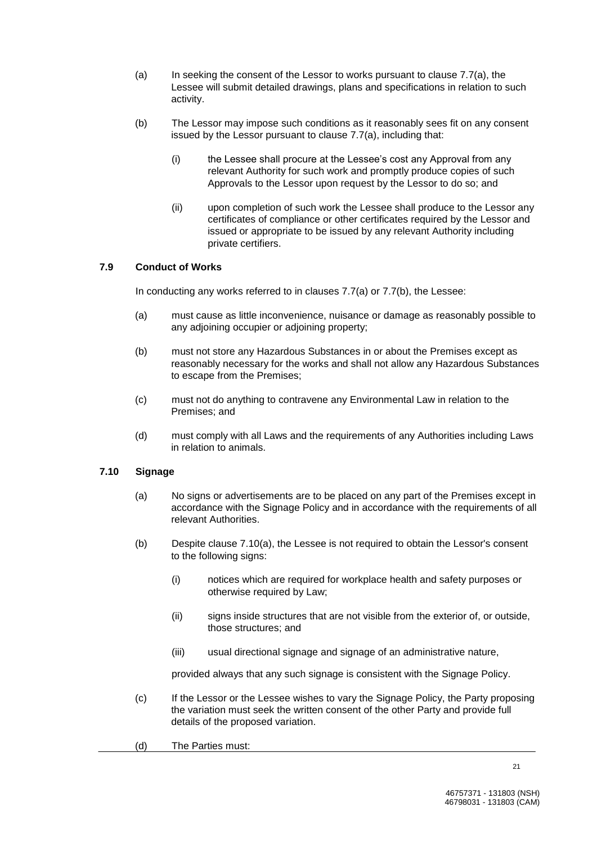- (a) In seeking the consent of the Lessor to works pursuant to clause 7.7(a), the Lessee will submit detailed drawings, plans and specifications in relation to such activity.
- (b) The Lessor may impose such conditions as it reasonably sees fit on any consent issued by the Lessor pursuant to clause 7.7(a), including that:
	- (i) the Lessee shall procure at the Lessee's cost any Approval from any relevant Authority for such work and promptly produce copies of such Approvals to the Lessor upon request by the Lessor to do so; and
	- (ii) upon completion of such work the Lessee shall produce to the Lessor any certificates of compliance or other certificates required by the Lessor and issued or appropriate to be issued by any relevant Authority including private certifiers.

## **7.9 Conduct of Works**

In conducting any works referred to in clauses 7.7(a) or 7.7(b), the Lessee:

- (a) must cause as little inconvenience, nuisance or damage as reasonably possible to any adjoining occupier or adjoining property;
- (b) must not store any Hazardous Substances in or about the Premises except as reasonably necessary for the works and shall not allow any Hazardous Substances to escape from the Premises;
- (c) must not do anything to contravene any Environmental Law in relation to the Premises; and
- (d) must comply with all Laws and the requirements of any Authorities including Laws in relation to animals.

## **7.10 Signage**

- (a) No signs or advertisements are to be placed on any part of the Premises except in accordance with the Signage Policy and in accordance with the requirements of all relevant Authorities.
- (b) Despite clause 7.10(a), the Lessee is not required to obtain the Lessor's consent to the following signs:
	- (i) notices which are required for workplace health and safety purposes or otherwise required by Law;
	- (ii) signs inside structures that are not visible from the exterior of, or outside, those structures; and
	- (iii) usual directional signage and signage of an administrative nature,

provided always that any such signage is consistent with the Signage Policy.

- (c) If the Lessor or the Lessee wishes to vary the Signage Policy, the Party proposing the variation must seek the written consent of the other Party and provide full details of the proposed variation.
- (d) The Parties must: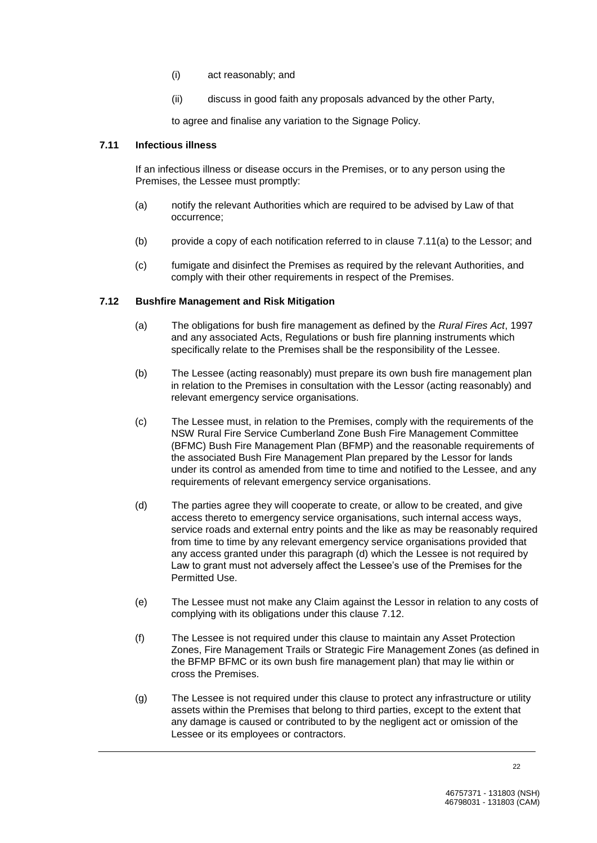- (i) act reasonably; and
- (ii) discuss in good faith any proposals advanced by the other Party,

to agree and finalise any variation to the Signage Policy.

#### **7.11 Infectious illness**

If an infectious illness or disease occurs in the Premises, or to any person using the Premises, the Lessee must promptly:

- (a) notify the relevant Authorities which are required to be advised by Law of that occurrence;
- (b) provide a copy of each notification referred to in clause  $7.11(a)$  to the Lessor; and
- (c) fumigate and disinfect the Premises as required by the relevant Authorities, and comply with their other requirements in respect of the Premises.

## **7.12 Bushfire Management and Risk Mitigation**

- (a) The obligations for bush fire management as defined by the *Rural Fires Act*, 1997 and any associated Acts, Regulations or bush fire planning instruments which specifically relate to the Premises shall be the responsibility of the Lessee.
- (b) The Lessee (acting reasonably) must prepare its own bush fire management plan in relation to the Premises in consultation with the Lessor (acting reasonably) and relevant emergency service organisations.
- (c) The Lessee must, in relation to the Premises, comply with the requirements of the NSW Rural Fire Service Cumberland Zone Bush Fire Management Committee (BFMC) Bush Fire Management Plan (BFMP) and the reasonable requirements of the associated Bush Fire Management Plan prepared by the Lessor for lands under its control as amended from time to time and notified to the Lessee, and any requirements of relevant emergency service organisations.
- (d) The parties agree they will cooperate to create, or allow to be created, and give access thereto to emergency service organisations, such internal access ways, service roads and external entry points and the like as may be reasonably required from time to time by any relevant emergency service organisations provided that any access granted under this paragraph (d) which the Lessee is not required by Law to grant must not adversely affect the Lessee's use of the Premises for the Permitted Use.
- (e) The Lessee must not make any Claim against the Lessor in relation to any costs of complying with its obligations under this clause 7.12.
- (f) The Lessee is not required under this clause to maintain any Asset Protection Zones, Fire Management Trails or Strategic Fire Management Zones (as defined in the BFMP BFMC or its own bush fire management plan) that may lie within or cross the Premises.
- (g) The Lessee is not required under this clause to protect any infrastructure or utility assets within the Premises that belong to third parties, except to the extent that any damage is caused or contributed to by the negligent act or omission of the Lessee or its employees or contractors.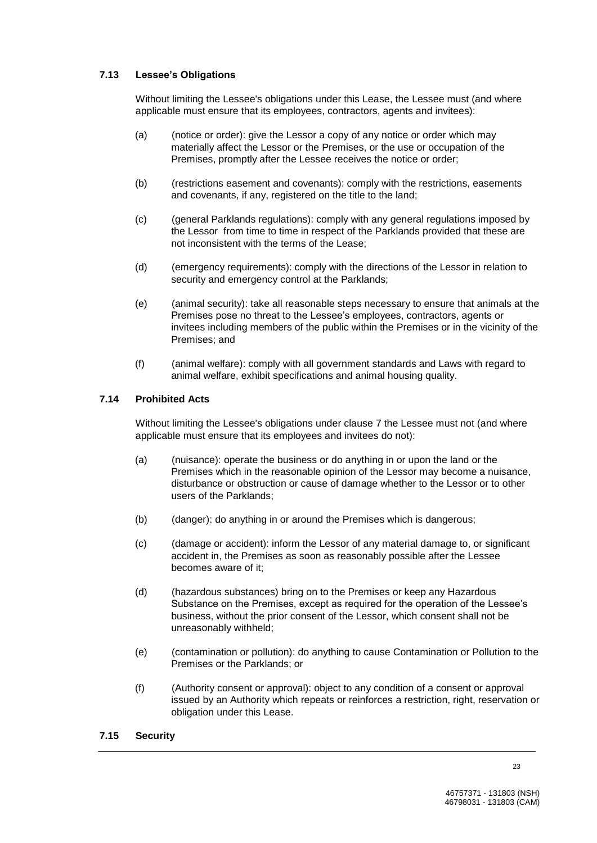# **7.13 Lessee's Obligations**

Without limiting the Lessee's obligations under this Lease, the Lessee must (and where applicable must ensure that its employees, contractors, agents and invitees):

- (a) (notice or order): give the Lessor a copy of any notice or order which may materially affect the Lessor or the Premises, or the use or occupation of the Premises, promptly after the Lessee receives the notice or order;
- (b) (restrictions easement and covenants): comply with the restrictions, easements and covenants, if any, registered on the title to the land;
- (c) (general Parklands regulations): comply with any general regulations imposed by the Lessor from time to time in respect of the Parklands provided that these are not inconsistent with the terms of the Lease;
- (d) (emergency requirements): comply with the directions of the Lessor in relation to security and emergency control at the Parklands;
- (e) (animal security): take all reasonable steps necessary to ensure that animals at the Premises pose no threat to the Lessee's employees, contractors, agents or invitees including members of the public within the Premises or in the vicinity of the Premises; and
- (f) (animal welfare): comply with all government standards and Laws with regard to animal welfare, exhibit specifications and animal housing quality.

## **7.14 Prohibited Acts**

Without limiting the Lessee's obligations under clause 7 the Lessee must not (and where applicable must ensure that its employees and invitees do not):

- (a) (nuisance): operate the business or do anything in or upon the land or the Premises which in the reasonable opinion of the Lessor may become a nuisance, disturbance or obstruction or cause of damage whether to the Lessor or to other users of the Parklands;
- (b) (danger): do anything in or around the Premises which is dangerous;
- (c) (damage or accident): inform the Lessor of any material damage to, or significant accident in, the Premises as soon as reasonably possible after the Lessee becomes aware of it;
- (d) (hazardous substances) bring on to the Premises or keep any Hazardous Substance on the Premises, except as required for the operation of the Lessee's business, without the prior consent of the Lessor, which consent shall not be unreasonably withheld;
- (e) (contamination or pollution): do anything to cause Contamination or Pollution to the Premises or the Parklands; or
- (f) (Authority consent or approval): object to any condition of a consent or approval issued by an Authority which repeats or reinforces a restriction, right, reservation or obligation under this Lease.

#### **7.15 Security**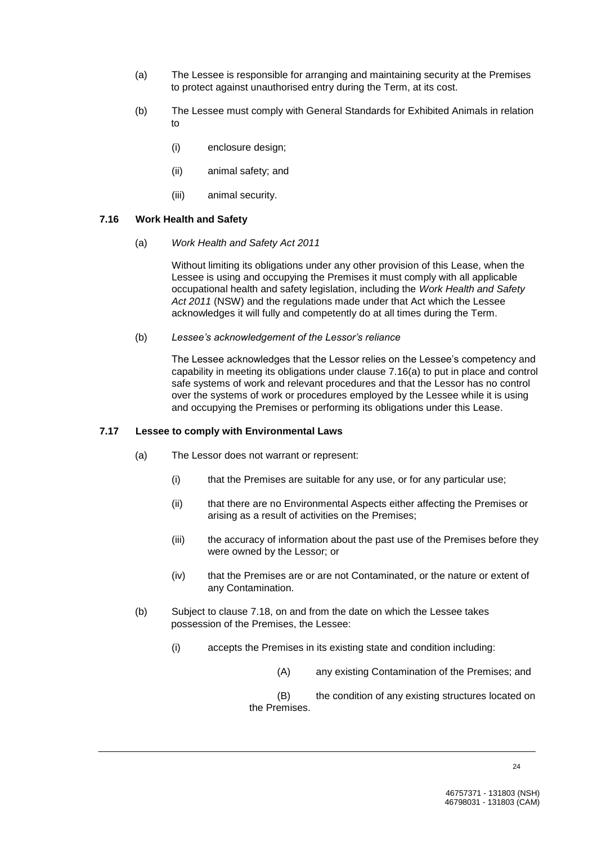- (a) The Lessee is responsible for arranging and maintaining security at the Premises to protect against unauthorised entry during the Term, at its cost.
- (b) The Lessee must comply with General Standards for Exhibited Animals in relation to
	- (i) enclosure design;
	- (ii) animal safety; and
	- (iii) animal security.

## **7.16 Work Health and Safety**

(a) *Work Health and Safety Act 2011*

Without limiting its obligations under any other provision of this Lease, when the Lessee is using and occupying the Premises it must comply with all applicable occupational health and safety legislation, including the *Work Health and Safety Act 2011* (NSW) and the regulations made under that Act which the Lessee acknowledges it will fully and competently do at all times during the Term.

(b) *Lessee's acknowledgement of the Lessor's reliance*

The Lessee acknowledges that the Lessor relies on the Lessee's competency and capability in meeting its obligations under clause 7.16(a) to put in place and control safe systems of work and relevant procedures and that the Lessor has no control over the systems of work or procedures employed by the Lessee while it is using and occupying the Premises or performing its obligations under this Lease.

## **7.17 Lessee to comply with Environmental Laws**

- (a) The Lessor does not warrant or represent:
	- (i) that the Premises are suitable for any use, or for any particular use;
	- (ii) that there are no Environmental Aspects either affecting the Premises or arising as a result of activities on the Premises;
	- (iii) the accuracy of information about the past use of the Premises before they were owned by the Lessor; or
	- (iv) that the Premises are or are not Contaminated, or the nature or extent of any Contamination.
- (b) Subject to clause 7.18, on and from the date on which the Lessee takes possession of the Premises, the Lessee:
	- (i) accepts the Premises in its existing state and condition including:
		- (A) any existing Contamination of the Premises; and
		- (B) the condition of any existing structures located on the Premises.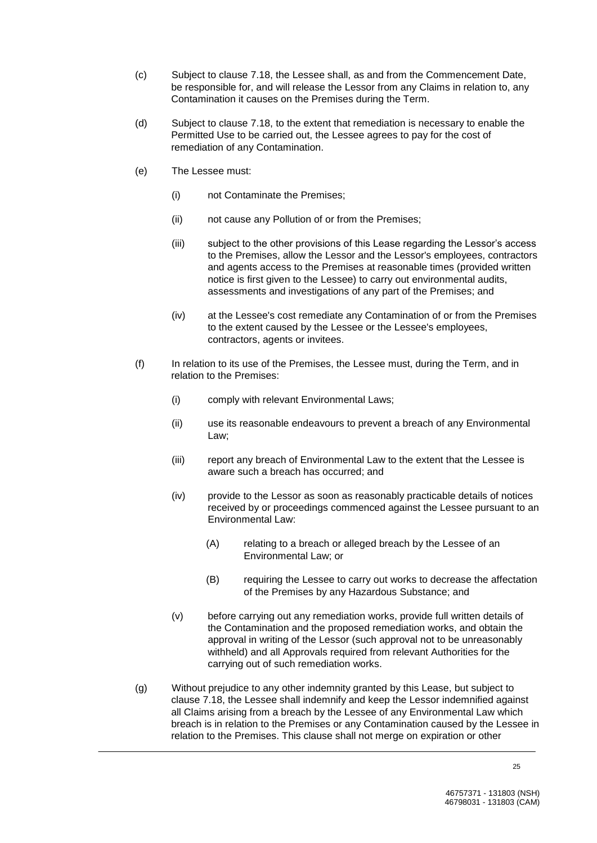- (c) Subject to clause 7.18, the Lessee shall, as and from the Commencement Date, be responsible for, and will release the Lessor from any Claims in relation to, any Contamination it causes on the Premises during the Term.
- (d) Subject to clause 7.18, to the extent that remediation is necessary to enable the Permitted Use to be carried out, the Lessee agrees to pay for the cost of remediation of any Contamination.
- (e) The Lessee must:
	- (i) not Contaminate the Premises;
	- (ii) not cause any Pollution of or from the Premises;
	- (iii) subject to the other provisions of this Lease regarding the Lessor's access to the Premises, allow the Lessor and the Lessor's employees, contractors and agents access to the Premises at reasonable times (provided written notice is first given to the Lessee) to carry out environmental audits, assessments and investigations of any part of the Premises; and
	- (iv) at the Lessee's cost remediate any Contamination of or from the Premises to the extent caused by the Lessee or the Lessee's employees, contractors, agents or invitees.
- (f) In relation to its use of the Premises, the Lessee must, during the Term, and in relation to the Premises:
	- (i) comply with relevant Environmental Laws;
	- (ii) use its reasonable endeavours to prevent a breach of any Environmental Law;
	- (iii) report any breach of Environmental Law to the extent that the Lessee is aware such a breach has occurred; and
	- (iv) provide to the Lessor as soon as reasonably practicable details of notices received by or proceedings commenced against the Lessee pursuant to an Environmental Law:
		- (A) relating to a breach or alleged breach by the Lessee of an Environmental Law; or
		- (B) requiring the Lessee to carry out works to decrease the affectation of the Premises by any Hazardous Substance; and
	- (v) before carrying out any remediation works, provide full written details of the Contamination and the proposed remediation works, and obtain the approval in writing of the Lessor (such approval not to be unreasonably withheld) and all Approvals required from relevant Authorities for the carrying out of such remediation works.
- (g) Without prejudice to any other indemnity granted by this Lease, but subject to clause 7.18, the Lessee shall indemnify and keep the Lessor indemnified against all Claims arising from a breach by the Lessee of any Environmental Law which breach is in relation to the Premises or any Contamination caused by the Lessee in relation to the Premises. This clause shall not merge on expiration or other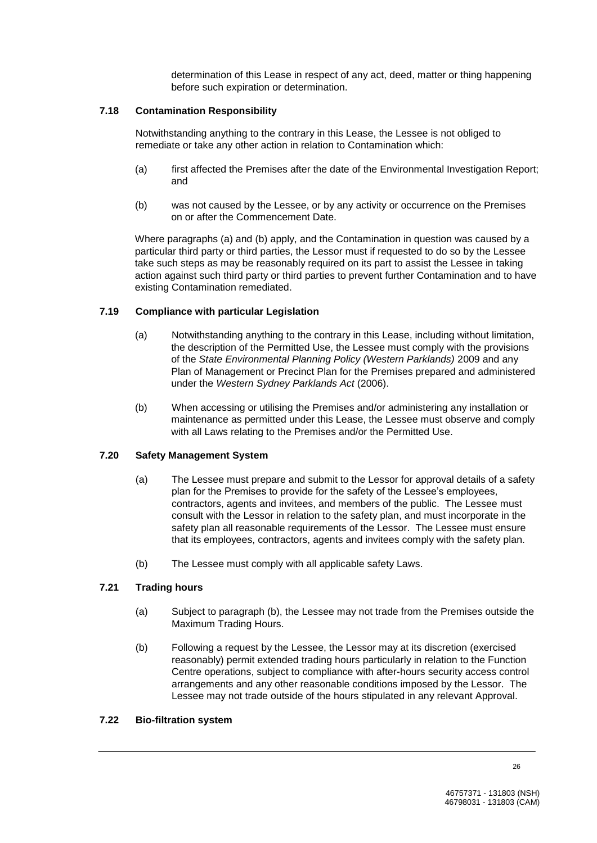determination of this Lease in respect of any act, deed, matter or thing happening before such expiration or determination.

## **7.18 Contamination Responsibility**

Notwithstanding anything to the contrary in this Lease, the Lessee is not obliged to remediate or take any other action in relation to Contamination which:

- (a) first affected the Premises after the date of the Environmental Investigation Report; and
- (b) was not caused by the Lessee, or by any activity or occurrence on the Premises on or after the Commencement Date.

Where paragraphs (a) and (b) apply, and the Contamination in question was caused by a particular third party or third parties, the Lessor must if requested to do so by the Lessee take such steps as may be reasonably required on its part to assist the Lessee in taking action against such third party or third parties to prevent further Contamination and to have existing Contamination remediated.

## **7.19 Compliance with particular Legislation**

- (a) Notwithstanding anything to the contrary in this Lease, including without limitation, the description of the Permitted Use, the Lessee must comply with the provisions of the *State Environmental Planning Policy (Western Parklands)* 2009 and any Plan of Management or Precinct Plan for the Premises prepared and administered under the *Western Sydney Parklands Act* (2006).
- (b) When accessing or utilising the Premises and/or administering any installation or maintenance as permitted under this Lease, the Lessee must observe and comply with all Laws relating to the Premises and/or the Permitted Use.

## **7.20 Safety Management System**

- (a) The Lessee must prepare and submit to the Lessor for approval details of a safety plan for the Premises to provide for the safety of the Lessee's employees, contractors, agents and invitees, and members of the public. The Lessee must consult with the Lessor in relation to the safety plan, and must incorporate in the safety plan all reasonable requirements of the Lessor. The Lessee must ensure that its employees, contractors, agents and invitees comply with the safety plan.
- (b) The Lessee must comply with all applicable safety Laws.

## **7.21 Trading hours**

- (a) Subject to paragraph (b), the Lessee may not trade from the Premises outside the Maximum Trading Hours.
- (b) Following a request by the Lessee, the Lessor may at its discretion (exercised reasonably) permit extended trading hours particularly in relation to the Function Centre operations, subject to compliance with after-hours security access control arrangements and any other reasonable conditions imposed by the Lessor. The Lessee may not trade outside of the hours stipulated in any relevant Approval.

#### **7.22 Bio-filtration system**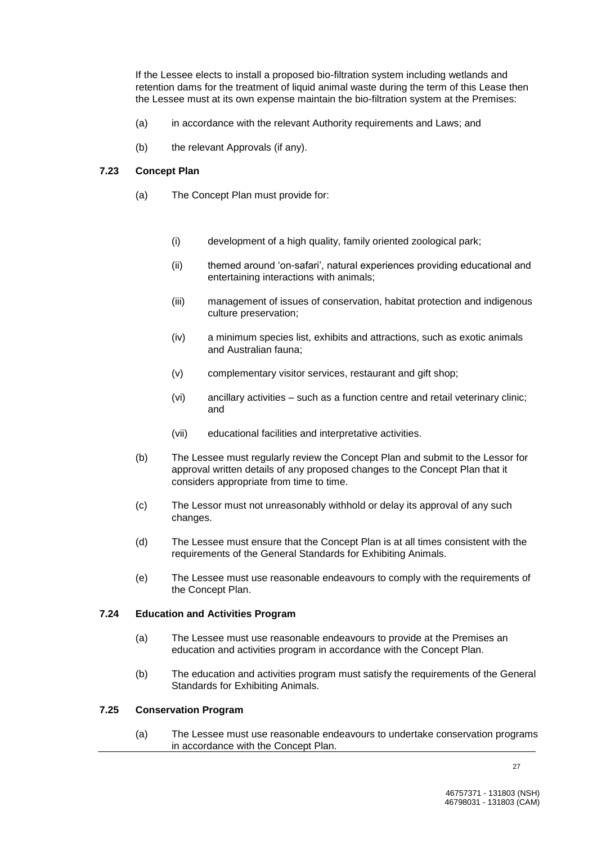If the Lessee elects to install a proposed bio-filtration system including wetlands and retention dams for the treatment of liquid animal waste during the term of this Lease then the Lessee must at its own expense maintain the bio-filtration system at the Premises:

- (a) in accordance with the relevant Authority requirements and Laws; and
- (b) the relevant Approvals (if any).

#### **7.23 Concept Plan**

- (a) The Concept Plan must provide for:
	- (i) development of a high quality, family oriented zoological park;
	- (ii) themed around 'on-safari', natural experiences providing educational and entertaining interactions with animals;
	- (iii) management of issues of conservation, habitat protection and indigenous culture preservation;
	- (iv) a minimum species list, exhibits and attractions, such as exotic animals and Australian fauna;
	- (v) complementary visitor services, restaurant and gift shop;
	- (vi) ancillary activities such as a function centre and retail veterinary clinic; and
	- (vii) educational facilities and interpretative activities.
- (b) The Lessee must regularly review the Concept Plan and submit to the Lessor for approval written details of any proposed changes to the Concept Plan that it considers appropriate from time to time.
- (c) The Lessor must not unreasonably withhold or delay its approval of any such changes.
- (d) The Lessee must ensure that the Concept Plan is at all times consistent with the requirements of the General Standards for Exhibiting Animals.
- (e) The Lessee must use reasonable endeavours to comply with the requirements of the Concept Plan.

#### **7.24 Education and Activities Program**

- (a) The Lessee must use reasonable endeavours to provide at the Premises an education and activities program in accordance with the Concept Plan.
- (b) The education and activities program must satisfy the requirements of the General Standards for Exhibiting Animals.

## **7.25 Conservation Program**

(a) The Lessee must use reasonable endeavours to undertake conservation programs in accordance with the Concept Plan.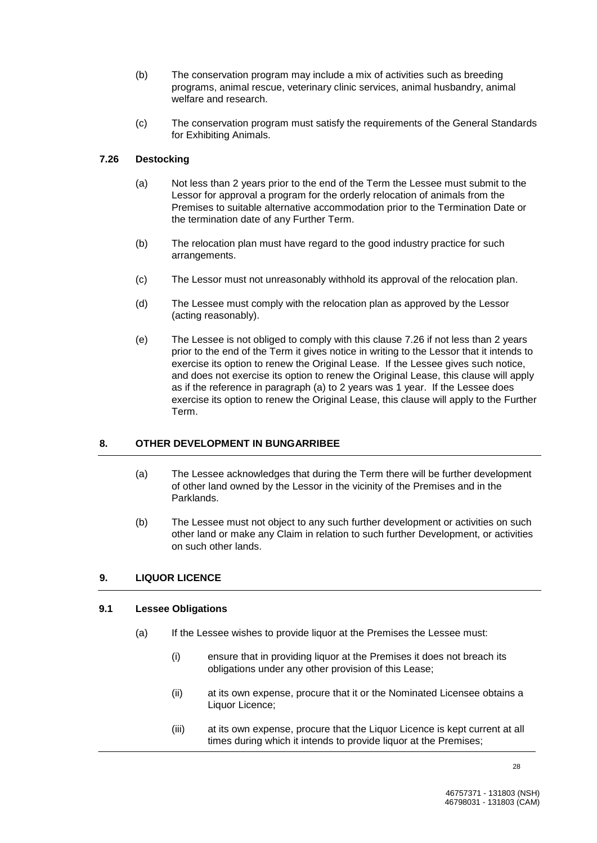- (b) The conservation program may include a mix of activities such as breeding programs, animal rescue, veterinary clinic services, animal husbandry, animal welfare and research.
- (c) The conservation program must satisfy the requirements of the General Standards for Exhibiting Animals.

## **7.26 Destocking**

- (a) Not less than 2 years prior to the end of the Term the Lessee must submit to the Lessor for approval a program for the orderly relocation of animals from the Premises to suitable alternative accommodation prior to the Termination Date or the termination date of any Further Term.
- (b) The relocation plan must have regard to the good industry practice for such arrangements.
- (c) The Lessor must not unreasonably withhold its approval of the relocation plan.
- (d) The Lessee must comply with the relocation plan as approved by the Lessor (acting reasonably).
- (e) The Lessee is not obliged to comply with this clause 7.26 if not less than 2 years prior to the end of the Term it gives notice in writing to the Lessor that it intends to exercise its option to renew the Original Lease. If the Lessee gives such notice, and does not exercise its option to renew the Original Lease, this clause will apply as if the reference in paragraph (a) to 2 years was 1 year. If the Lessee does exercise its option to renew the Original Lease, this clause will apply to the Further Term.

# **8. OTHER DEVELOPMENT IN BUNGARRIBEE**

- (a) The Lessee acknowledges that during the Term there will be further development of other land owned by the Lessor in the vicinity of the Premises and in the Parklands.
- (b) The Lessee must not object to any such further development or activities on such other land or make any Claim in relation to such further Development, or activities on such other lands.

# **9. LIQUOR LICENCE**

## **9.1 Lessee Obligations**

- (a) If the Lessee wishes to provide liquor at the Premises the Lessee must:
	- (i) ensure that in providing liquor at the Premises it does not breach its obligations under any other provision of this Lease;
	- (ii) at its own expense, procure that it or the Nominated Licensee obtains a Liquor Licence;
	- (iii) at its own expense, procure that the Liquor Licence is kept current at all times during which it intends to provide liquor at the Premises;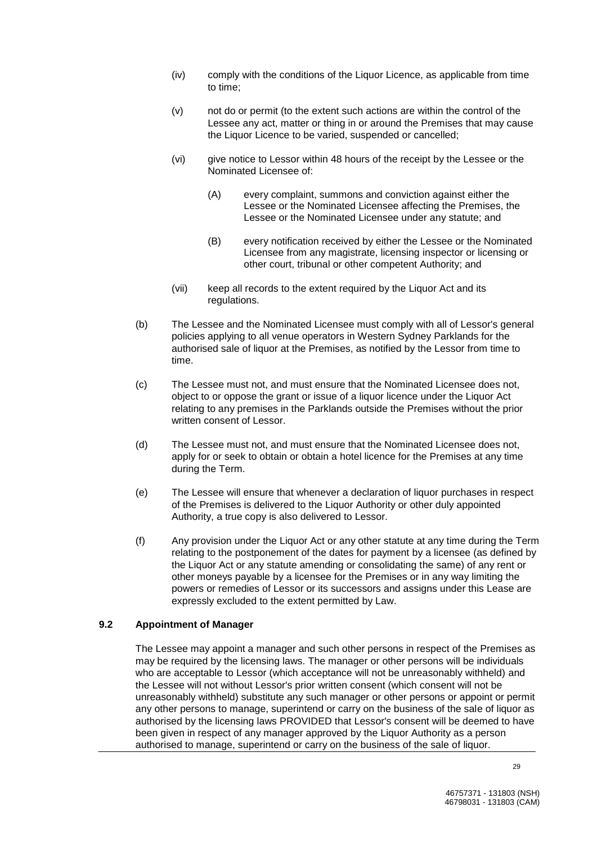- (iv) comply with the conditions of the Liquor Licence, as applicable from time to time;
- (v) not do or permit (to the extent such actions are within the control of the Lessee any act, matter or thing in or around the Premises that may cause the Liquor Licence to be varied, suspended or cancelled;
- (vi) give notice to Lessor within 48 hours of the receipt by the Lessee or the Nominated Licensee of:
	- (A) every complaint, summons and conviction against either the Lessee or the Nominated Licensee affecting the Premises, the Lessee or the Nominated Licensee under any statute; and
	- (B) every notification received by either the Lessee or the Nominated Licensee from any magistrate, licensing inspector or licensing or other court, tribunal or other competent Authority; and
- (vii) keep all records to the extent required by the Liquor Act and its regulations.
- (b) The Lessee and the Nominated Licensee must comply with all of Lessor's general policies applying to all venue operators in Western Sydney Parklands for the authorised sale of liquor at the Premises, as notified by the Lessor from time to time.
- (c) The Lessee must not, and must ensure that the Nominated Licensee does not, object to or oppose the grant or issue of a liquor licence under the Liquor Act relating to any premises in the Parklands outside the Premises without the prior written consent of Lessor.
- (d) The Lessee must not, and must ensure that the Nominated Licensee does not, apply for or seek to obtain or obtain a hotel licence for the Premises at any time during the Term.
- (e) The Lessee will ensure that whenever a declaration of liquor purchases in respect of the Premises is delivered to the Liquor Authority or other duly appointed Authority, a true copy is also delivered to Lessor.
- (f) Any provision under the Liquor Act or any other statute at any time during the Term relating to the postponement of the dates for payment by a licensee (as defined by the Liquor Act or any statute amending or consolidating the same) of any rent or other moneys payable by a licensee for the Premises or in any way limiting the powers or remedies of Lessor or its successors and assigns under this Lease are expressly excluded to the extent permitted by Law.

## **9.2 Appointment of Manager**

The Lessee may appoint a manager and such other persons in respect of the Premises as may be required by the licensing laws. The manager or other persons will be individuals who are acceptable to Lessor (which acceptance will not be unreasonably withheld) and the Lessee will not without Lessor's prior written consent (which consent will not be unreasonably withheld) substitute any such manager or other persons or appoint or permit any other persons to manage, superintend or carry on the business of the sale of liquor as authorised by the licensing laws PROVIDED that Lessor's consent will be deemed to have been given in respect of any manager approved by the Liquor Authority as a person authorised to manage, superintend or carry on the business of the sale of liquor.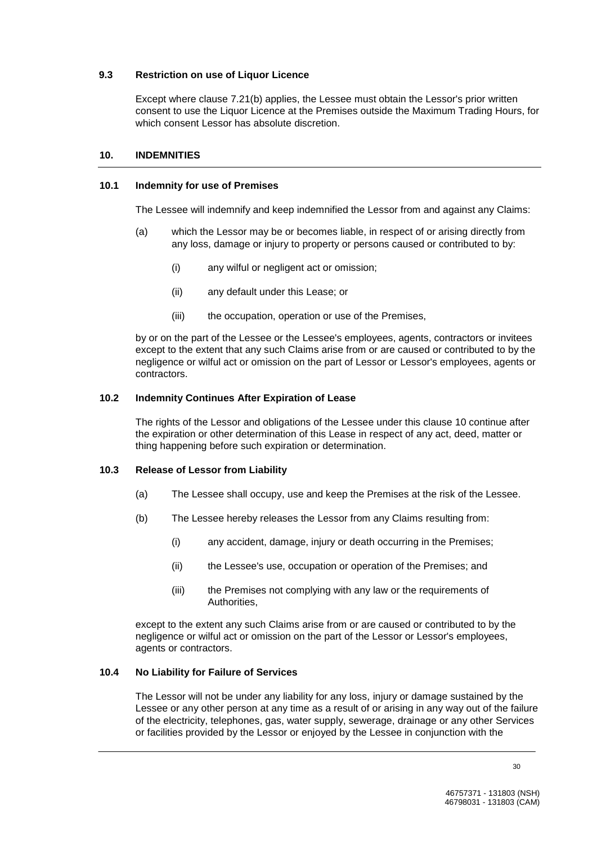#### **9.3 Restriction on use of Liquor Licence**

Except where clause 7.21(b) applies, the Lessee must obtain the Lessor's prior written consent to use the Liquor Licence at the Premises outside the Maximum Trading Hours, for which consent Lessor has absolute discretion.

#### **10. INDEMNITIES**

#### **10.1 Indemnity for use of Premises**

The Lessee will indemnify and keep indemnified the Lessor from and against any Claims:

- (a) which the Lessor may be or becomes liable, in respect of or arising directly from any loss, damage or injury to property or persons caused or contributed to by:
	- (i) any wilful or negligent act or omission;
	- (ii) any default under this Lease; or
	- (iii) the occupation, operation or use of the Premises,

by or on the part of the Lessee or the Lessee's employees, agents, contractors or invitees except to the extent that any such Claims arise from or are caused or contributed to by the negligence or wilful act or omission on the part of Lessor or Lessor's employees, agents or contractors.

#### **10.2 Indemnity Continues After Expiration of Lease**

The rights of the Lessor and obligations of the Lessee under this clause 10 continue after the expiration or other determination of this Lease in respect of any act, deed, matter or thing happening before such expiration or determination.

#### **10.3 Release of Lessor from Liability**

- (a) The Lessee shall occupy, use and keep the Premises at the risk of the Lessee.
- (b) The Lessee hereby releases the Lessor from any Claims resulting from:
	- (i) any accident, damage, injury or death occurring in the Premises;
	- (ii) the Lessee's use, occupation or operation of the Premises; and
	- (iii) the Premises not complying with any law or the requirements of Authorities,

except to the extent any such Claims arise from or are caused or contributed to by the negligence or wilful act or omission on the part of the Lessor or Lessor's employees, agents or contractors.

#### **10.4 No Liability for Failure of Services**

The Lessor will not be under any liability for any loss, injury or damage sustained by the Lessee or any other person at any time as a result of or arising in any way out of the failure of the electricity, telephones, gas, water supply, sewerage, drainage or any other Services or facilities provided by the Lessor or enjoyed by the Lessee in conjunction with the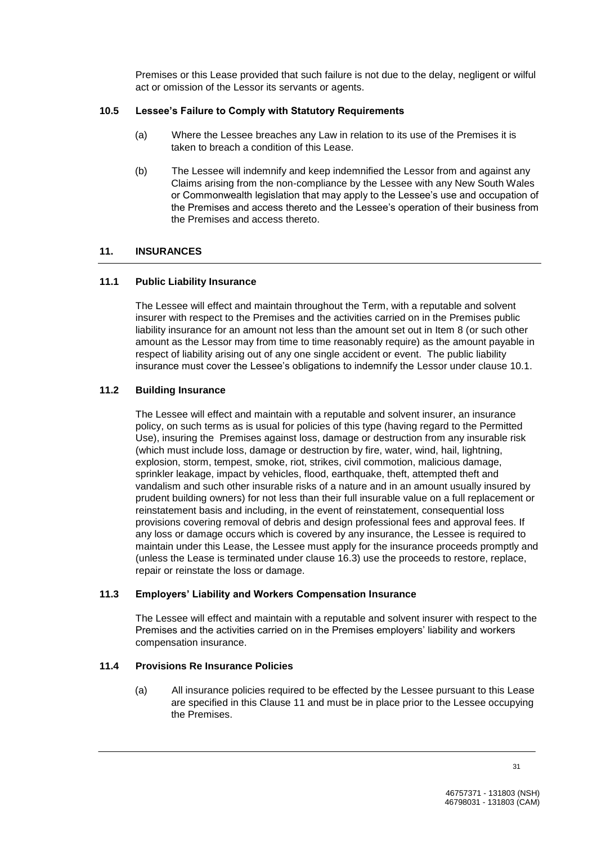Premises or this Lease provided that such failure is not due to the delay, negligent or wilful act or omission of the Lessor its servants or agents.

## **10.5 Lessee's Failure to Comply with Statutory Requirements**

- (a) Where the Lessee breaches any Law in relation to its use of the Premises it is taken to breach a condition of this Lease.
- (b) The Lessee will indemnify and keep indemnified the Lessor from and against any Claims arising from the non-compliance by the Lessee with any New South Wales or Commonwealth legislation that may apply to the Lessee's use and occupation of the Premises and access thereto and the Lessee's operation of their business from the Premises and access thereto.

#### **11. INSURANCES**

#### **11.1 Public Liability Insurance**

The Lessee will effect and maintain throughout the Term, with a reputable and solvent insurer with respect to the Premises and the activities carried on in the Premises public liability insurance for an amount not less than the amount set out in Item 8 (or such other amount as the Lessor may from time to time reasonably require) as the amount payable in respect of liability arising out of any one single accident or event. The public liability insurance must cover the Lessee's obligations to indemnify the Lessor under clause 10.1.

#### **11.2 Building Insurance**

The Lessee will effect and maintain with a reputable and solvent insurer, an insurance policy, on such terms as is usual for policies of this type (having regard to the Permitted Use), insuring the Premises against loss, damage or destruction from any insurable risk (which must include loss, damage or destruction by fire, water, wind, hail, lightning, explosion, storm, tempest, smoke, riot, strikes, civil commotion, malicious damage, sprinkler leakage, impact by vehicles, flood, earthquake, theft, attempted theft and vandalism and such other insurable risks of a nature and in an amount usually insured by prudent building owners) for not less than their full insurable value on a full replacement or reinstatement basis and including, in the event of reinstatement, consequential loss provisions covering removal of debris and design professional fees and approval fees. If any loss or damage occurs which is covered by any insurance, the Lessee is required to maintain under this Lease, the Lessee must apply for the insurance proceeds promptly and (unless the Lease is terminated under clause 16.3) use the proceeds to restore, replace, repair or reinstate the loss or damage.

#### **11.3 Employers' Liability and Workers Compensation Insurance**

The Lessee will effect and maintain with a reputable and solvent insurer with respect to the Premises and the activities carried on in the Premises employers' liability and workers compensation insurance.

#### **11.4 Provisions Re Insurance Policies**

(a) All insurance policies required to be effected by the Lessee pursuant to this Lease are specified in this Clause 11 and must be in place prior to the Lessee occupying the Premises.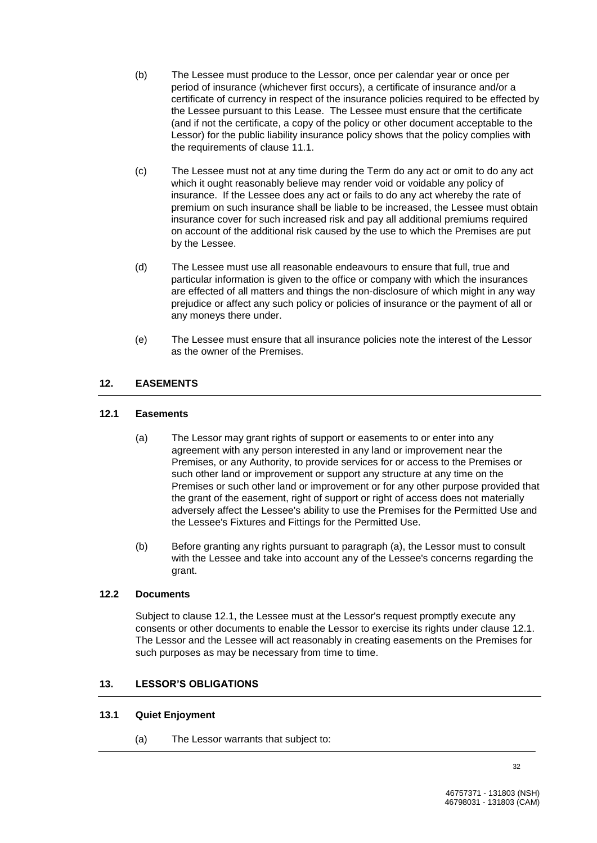- (b) The Lessee must produce to the Lessor, once per calendar year or once per period of insurance (whichever first occurs), a certificate of insurance and/or a certificate of currency in respect of the insurance policies required to be effected by the Lessee pursuant to this Lease. The Lessee must ensure that the certificate (and if not the certificate, a copy of the policy or other document acceptable to the Lessor) for the public liability insurance policy shows that the policy complies with the requirements of clause 11.1.
- (c) The Lessee must not at any time during the Term do any act or omit to do any act which it ought reasonably believe may render void or voidable any policy of insurance. If the Lessee does any act or fails to do any act whereby the rate of premium on such insurance shall be liable to be increased, the Lessee must obtain insurance cover for such increased risk and pay all additional premiums required on account of the additional risk caused by the use to which the Premises are put by the Lessee.
- (d) The Lessee must use all reasonable endeavours to ensure that full, true and particular information is given to the office or company with which the insurances are effected of all matters and things the non-disclosure of which might in any way prejudice or affect any such policy or policies of insurance or the payment of all or any moneys there under.
- (e) The Lessee must ensure that all insurance policies note the interest of the Lessor as the owner of the Premises.

# **12. EASEMENTS**

## **12.1 Easements**

- (a) The Lessor may grant rights of support or easements to or enter into any agreement with any person interested in any land or improvement near the Premises, or any Authority, to provide services for or access to the Premises or such other land or improvement or support any structure at any time on the Premises or such other land or improvement or for any other purpose provided that the grant of the easement, right of support or right of access does not materially adversely affect the Lessee's ability to use the Premises for the Permitted Use and the Lessee's Fixtures and Fittings for the Permitted Use.
- (b) Before granting any rights pursuant to paragraph (a), the Lessor must to consult with the Lessee and take into account any of the Lessee's concerns regarding the grant.

## **12.2 Documents**

Subject to clause 12.1, the Lessee must at the Lessor's request promptly execute any consents or other documents to enable the Lessor to exercise its rights under clause 12.1. The Lessor and the Lessee will act reasonably in creating easements on the Premises for such purposes as may be necessary from time to time.

# **13. LESSOR'S OBLIGATIONS**

## **13.1 Quiet Enjoyment**

(a) The Lessor warrants that subject to: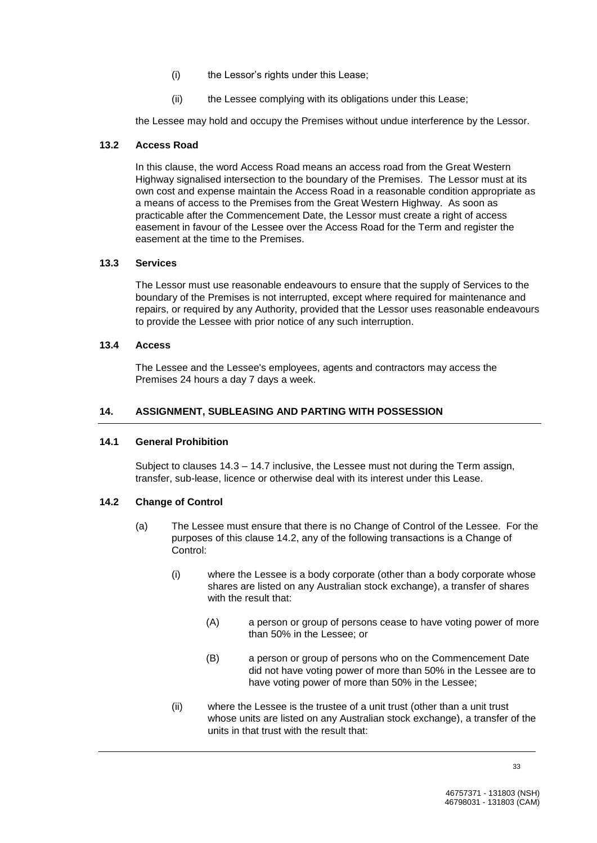- (i) the Lessor's rights under this Lease;
- (ii) the Lessee complying with its obligations under this Lease;

the Lessee may hold and occupy the Premises without undue interference by the Lessor.

#### **13.2 Access Road**

In this clause, the word Access Road means an access road from the Great Western Highway signalised intersection to the boundary of the Premises. The Lessor must at its own cost and expense maintain the Access Road in a reasonable condition appropriate as a means of access to the Premises from the Great Western Highway. As soon as practicable after the Commencement Date, the Lessor must create a right of access easement in favour of the Lessee over the Access Road for the Term and register the easement at the time to the Premises.

#### **13.3 Services**

The Lessor must use reasonable endeavours to ensure that the supply of Services to the boundary of the Premises is not interrupted, except where required for maintenance and repairs, or required by any Authority, provided that the Lessor uses reasonable endeavours to provide the Lessee with prior notice of any such interruption.

#### **13.4 Access**

The Lessee and the Lessee's employees, agents and contractors may access the Premises 24 hours a day 7 days a week.

#### **14. ASSIGNMENT, SUBLEASING AND PARTING WITH POSSESSION**

#### **14.1 General Prohibition**

Subject to clauses 14.3 – 14.7 inclusive, the Lessee must not during the Term assign, transfer, sub-lease, licence or otherwise deal with its interest under this Lease.

## **14.2 Change of Control**

- (a) The Lessee must ensure that there is no Change of Control of the Lessee. For the purposes of this clause 14.2, any of the following transactions is a Change of Control:
	- (i) where the Lessee is a body corporate (other than a body corporate whose shares are listed on any Australian stock exchange), a transfer of shares with the result that:
		- (A) a person or group of persons cease to have voting power of more than 50% in the Lessee; or
		- (B) a person or group of persons who on the Commencement Date did not have voting power of more than 50% in the Lessee are to have voting power of more than 50% in the Lessee;
	- (ii) where the Lessee is the trustee of a unit trust (other than a unit trust whose units are listed on any Australian stock exchange), a transfer of the units in that trust with the result that: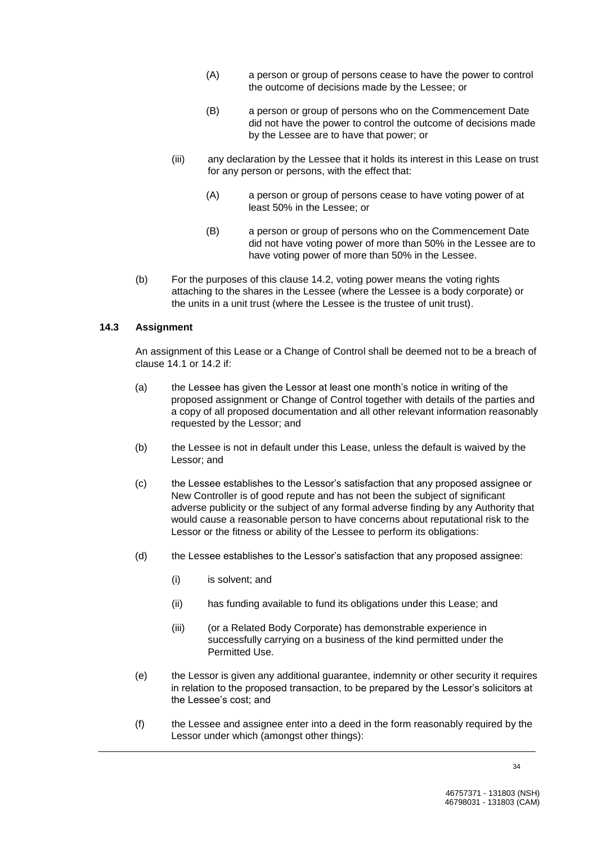- (A) a person or group of persons cease to have the power to control the outcome of decisions made by the Lessee; or
- (B) a person or group of persons who on the Commencement Date did not have the power to control the outcome of decisions made by the Lessee are to have that power; or
- (iii) any declaration by the Lessee that it holds its interest in this Lease on trust for any person or persons, with the effect that:
	- (A) a person or group of persons cease to have voting power of at least 50% in the Lessee; or
	- (B) a person or group of persons who on the Commencement Date did not have voting power of more than 50% in the Lessee are to have voting power of more than 50% in the Lessee.
- (b) For the purposes of this clause 14.2, voting power means the voting rights attaching to the shares in the Lessee (where the Lessee is a body corporate) or the units in a unit trust (where the Lessee is the trustee of unit trust).

# **14.3 Assignment**

An assignment of this Lease or a Change of Control shall be deemed not to be a breach of clause 14.1 or 14.2 if:

- (a) the Lessee has given the Lessor at least one month's notice in writing of the proposed assignment or Change of Control together with details of the parties and a copy of all proposed documentation and all other relevant information reasonably requested by the Lessor; and
- (b) the Lessee is not in default under this Lease, unless the default is waived by the Lessor; and
- (c) the Lessee establishes to the Lessor's satisfaction that any proposed assignee or New Controller is of good repute and has not been the subject of significant adverse publicity or the subject of any formal adverse finding by any Authority that would cause a reasonable person to have concerns about reputational risk to the Lessor or the fitness or ability of the Lessee to perform its obligations:
- (d) the Lessee establishes to the Lessor's satisfaction that any proposed assignee:
	- (i) is solvent; and
	- (ii) has funding available to fund its obligations under this Lease; and
	- (iii) (or a Related Body Corporate) has demonstrable experience in successfully carrying on a business of the kind permitted under the Permitted Use.
- (e) the Lessor is given any additional guarantee, indemnity or other security it requires in relation to the proposed transaction, to be prepared by the Lessor's solicitors at the Lessee's cost; and
- (f) the Lessee and assignee enter into a deed in the form reasonably required by the Lessor under which (amongst other things):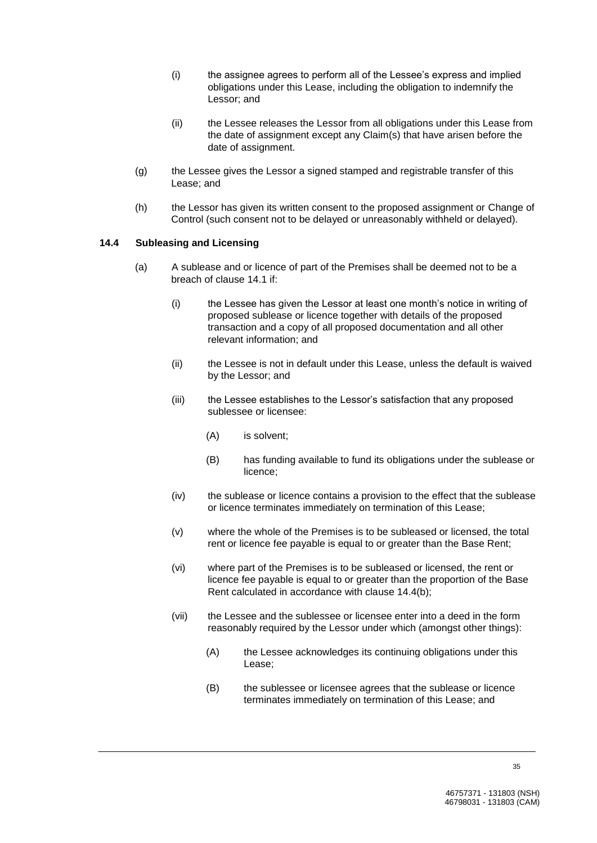- (i) the assignee agrees to perform all of the Lessee's express and implied obligations under this Lease, including the obligation to indemnify the Lessor; and
- (ii) the Lessee releases the Lessor from all obligations under this Lease from the date of assignment except any Claim(s) that have arisen before the date of assignment.
- (g) the Lessee gives the Lessor a signed stamped and registrable transfer of this Lease; and
- (h) the Lessor has given its written consent to the proposed assignment or Change of Control (such consent not to be delayed or unreasonably withheld or delayed).

## **14.4 Subleasing and Licensing**

- (a) A sublease and or licence of part of the Premises shall be deemed not to be a breach of clause 14.1 if:
	- (i) the Lessee has given the Lessor at least one month's notice in writing of proposed sublease or licence together with details of the proposed transaction and a copy of all proposed documentation and all other relevant information; and
	- (ii) the Lessee is not in default under this Lease, unless the default is waived by the Lessor; and
	- (iii) the Lessee establishes to the Lessor's satisfaction that any proposed sublessee or licensee:
		- (A) is solvent;
		- (B) has funding available to fund its obligations under the sublease or licence;
	- (iv) the sublease or licence contains a provision to the effect that the sublease or licence terminates immediately on termination of this Lease;
	- (v) where the whole of the Premises is to be subleased or licensed, the total rent or licence fee payable is equal to or greater than the Base Rent;
	- (vi) where part of the Premises is to be subleased or licensed, the rent or licence fee payable is equal to or greater than the proportion of the Base Rent calculated in accordance with clause 14.4(b);
	- (vii) the Lessee and the sublessee or licensee enter into a deed in the form reasonably required by the Lessor under which (amongst other things):
		- (A) the Lessee acknowledges its continuing obligations under this Lease;
		- (B) the sublessee or licensee agrees that the sublease or licence terminates immediately on termination of this Lease; and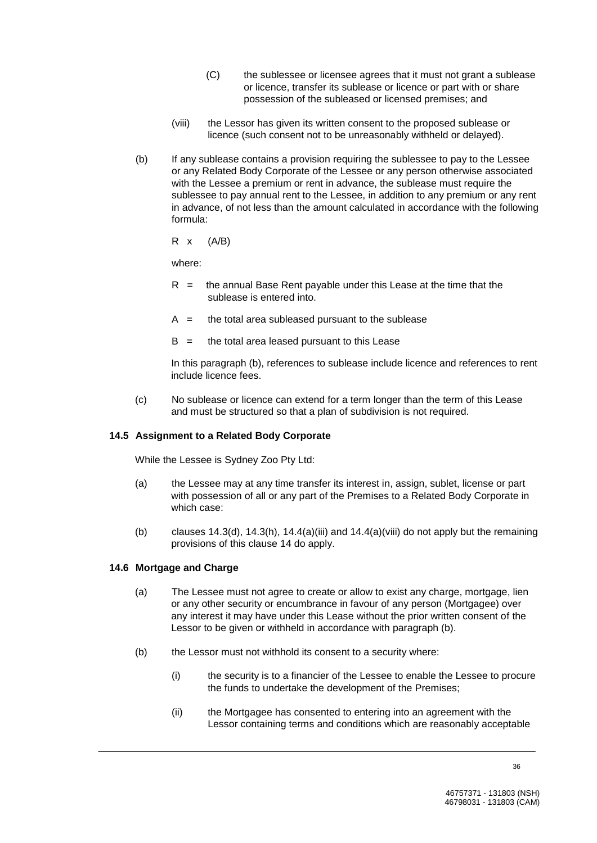- (C) the sublessee or licensee agrees that it must not grant a sublease or licence, transfer its sublease or licence or part with or share possession of the subleased or licensed premises; and
- (viii) the Lessor has given its written consent to the proposed sublease or licence (such consent not to be unreasonably withheld or delayed).
- (b) If any sublease contains a provision requiring the sublessee to pay to the Lessee or any Related Body Corporate of the Lessee or any person otherwise associated with the Lessee a premium or rent in advance, the sublease must require the sublessee to pay annual rent to the Lessee, in addition to any premium or any rent in advance, of not less than the amount calculated in accordance with the following formula:

 $R \times (A/B)$ 

where:

- $R =$  the annual Base Rent payable under this Lease at the time that the sublease is entered into.
- $A =$  the total area subleased pursuant to the sublease
- $B =$  the total area leased pursuant to this Lease

In this paragraph (b), references to sublease include licence and references to rent include licence fees.

(c) No sublease or licence can extend for a term longer than the term of this Lease and must be structured so that a plan of subdivision is not required.

## **14.5 Assignment to a Related Body Corporate**

While the Lessee is Sydney Zoo Pty Ltd:

- (a) the Lessee may at any time transfer its interest in, assign, sublet, license or part with possession of all or any part of the Premises to a Related Body Corporate in which case:
- (b) clauses  $14.3(d)$ ,  $14.3(h)$ ,  $14.4(a)$ (iii) and  $14.4(a)$ (viii) do not apply but the remaining provisions of this clause 14 do apply.

#### **14.6 Mortgage and Charge**

- (a) The Lessee must not agree to create or allow to exist any charge, mortgage, lien or any other security or encumbrance in favour of any person (Mortgagee) over any interest it may have under this Lease without the prior written consent of the Lessor to be given or withheld in accordance with paragraph (b).
- (b) the Lessor must not withhold its consent to a security where:
	- (i) the security is to a financier of the Lessee to enable the Lessee to procure the funds to undertake the development of the Premises;
	- (ii) the Mortgagee has consented to entering into an agreement with the Lessor containing terms and conditions which are reasonably acceptable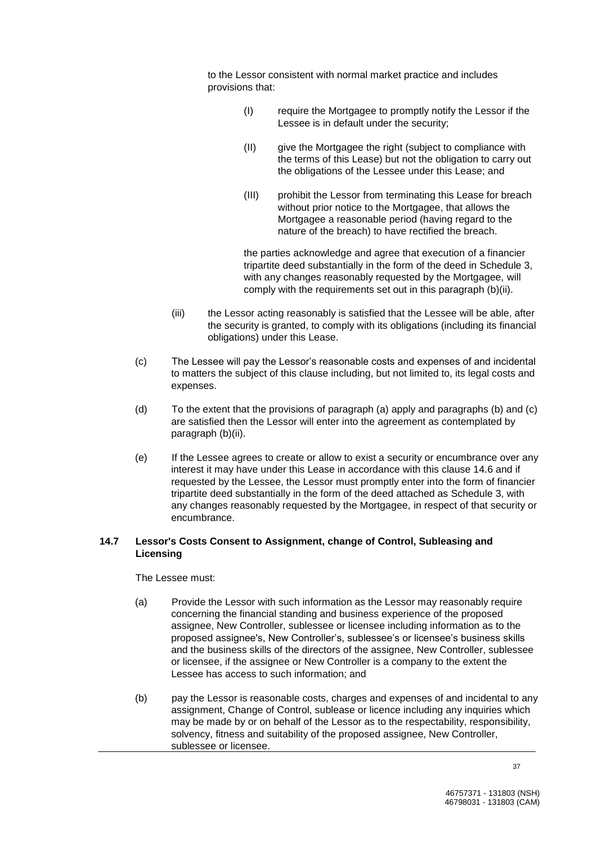to the Lessor consistent with normal market practice and includes provisions that:

- (I) require the Mortgagee to promptly notify the Lessor if the Lessee is in default under the security;
- (II) give the Mortgagee the right (subject to compliance with the terms of this Lease) but not the obligation to carry out the obligations of the Lessee under this Lease; and
- (III) prohibit the Lessor from terminating this Lease for breach without prior notice to the Mortgagee, that allows the Mortgagee a reasonable period (having regard to the nature of the breach) to have rectified the breach.

the parties acknowledge and agree that execution of a financier tripartite deed substantially in the form of the deed in Schedule 3, with any changes reasonably requested by the Mortgagee, will comply with the requirements set out in this paragraph (b)(ii).

- (iii) the Lessor acting reasonably is satisfied that the Lessee will be able, after the security is granted, to comply with its obligations (including its financial obligations) under this Lease.
- (c) The Lessee will pay the Lessor's reasonable costs and expenses of and incidental to matters the subject of this clause including, but not limited to, its legal costs and expenses.
- (d) To the extent that the provisions of paragraph (a) apply and paragraphs (b) and (c) are satisfied then the Lessor will enter into the agreement as contemplated by paragraph (b)(ii).
- (e) If the Lessee agrees to create or allow to exist a security or encumbrance over any interest it may have under this Lease in accordance with this clause 14.6 and if requested by the Lessee, the Lessor must promptly enter into the form of financier tripartite deed substantially in the form of the deed attached as Schedule 3, with any changes reasonably requested by the Mortgagee, in respect of that security or encumbrance.

## **14.7 Lessor's Costs Consent to Assignment, change of Control, Subleasing and Licensing**

The Lessee must:

- (a) Provide the Lessor with such information as the Lessor may reasonably require concerning the financial standing and business experience of the proposed assignee, New Controller, sublessee or licensee including information as to the proposed assignee's, New Controller's, sublessee's or licensee's business skills and the business skills of the directors of the assignee, New Controller, sublessee or licensee, if the assignee or New Controller is a company to the extent the Lessee has access to such information; and
- (b) pay the Lessor is reasonable costs, charges and expenses of and incidental to any assignment, Change of Control, sublease or licence including any inquiries which may be made by or on behalf of the Lessor as to the respectability, responsibility, solvency, fitness and suitability of the proposed assignee, New Controller, sublessee or licensee.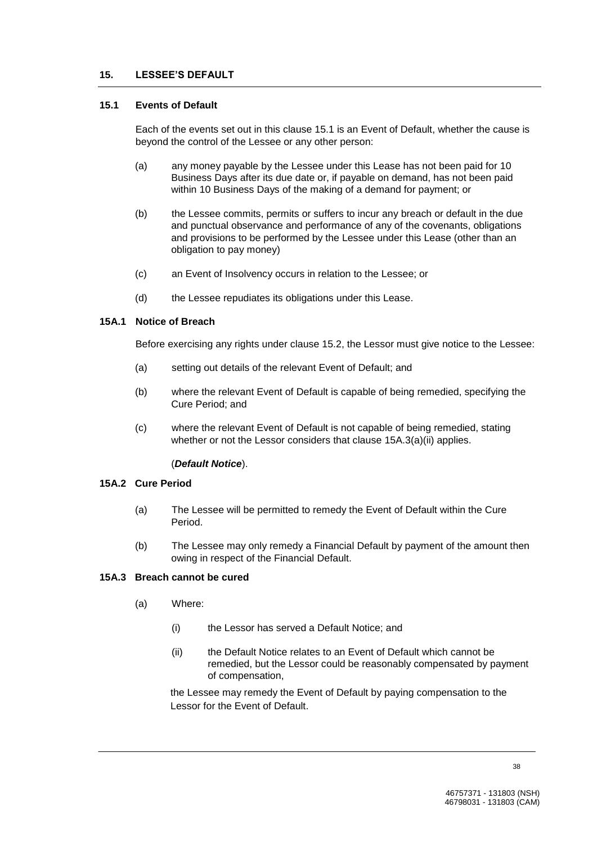## **15. LESSEE'S DEFAULT**

## **15.1 Events of Default**

Each of the events set out in this clause 15.1 is an Event of Default, whether the cause is beyond the control of the Lessee or any other person:

- (a) any money payable by the Lessee under this Lease has not been paid for 10 Business Days after its due date or, if payable on demand, has not been paid within 10 Business Days of the making of a demand for payment; or
- (b) the Lessee commits, permits or suffers to incur any breach or default in the due and punctual observance and performance of any of the covenants, obligations and provisions to be performed by the Lessee under this Lease (other than an obligation to pay money)
- (c) an Event of Insolvency occurs in relation to the Lessee; or
- (d) the Lessee repudiates its obligations under this Lease.

#### **15A.1 Notice of Breach**

Before exercising any rights under clause 15.2, the Lessor must give notice to the Lessee:

- (a) setting out details of the relevant Event of Default; and
- (b) where the relevant Event of Default is capable of being remedied, specifying the Cure Period; and
- (c) where the relevant Event of Default is not capable of being remedied, stating whether or not the Lessor considers that clause 15A.3(a)(ii) applies.

## (*Default Notice*).

#### **15A.2 Cure Period**

- (a) The Lessee will be permitted to remedy the Event of Default within the Cure Period.
- (b) The Lessee may only remedy a Financial Default by payment of the amount then owing in respect of the Financial Default.

## **15A.3 Breach cannot be cured**

- (a) Where:
	- (i) the Lessor has served a Default Notice; and
	- (ii) the Default Notice relates to an Event of Default which cannot be remedied, but the Lessor could be reasonably compensated by payment of compensation,

the Lessee may remedy the Event of Default by paying compensation to the Lessor for the Event of Default.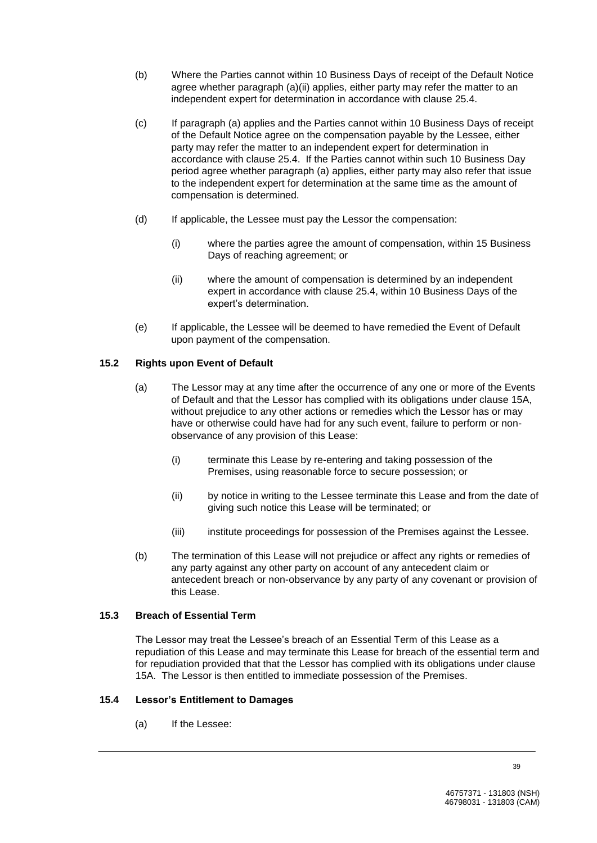- (b) Where the Parties cannot within 10 Business Days of receipt of the Default Notice agree whether paragraph (a)(ii) applies, either party may refer the matter to an independent expert for determination in accordance with clause 25.4.
- (c) If paragraph (a) applies and the Parties cannot within 10 Business Days of receipt of the Default Notice agree on the compensation payable by the Lessee, either party may refer the matter to an independent expert for determination in accordance with clause 25.4. If the Parties cannot within such 10 Business Day period agree whether paragraph (a) applies, either party may also refer that issue to the independent expert for determination at the same time as the amount of compensation is determined.
- (d) If applicable, the Lessee must pay the Lessor the compensation:
	- (i) where the parties agree the amount of compensation, within 15 Business Days of reaching agreement; or
	- (ii) where the amount of compensation is determined by an independent expert in accordance with clause 25.4, within 10 Business Days of the expert's determination.
- (e) If applicable, the Lessee will be deemed to have remedied the Event of Default upon payment of the compensation.

# **15.2 Rights upon Event of Default**

- (a) The Lessor may at any time after the occurrence of any one or more of the Events of Default and that the Lessor has complied with its obligations under clause 15A, without prejudice to any other actions or remedies which the Lessor has or may have or otherwise could have had for any such event, failure to perform or nonobservance of any provision of this Lease:
	- (i) terminate this Lease by re-entering and taking possession of the Premises, using reasonable force to secure possession; or
	- (ii) by notice in writing to the Lessee terminate this Lease and from the date of giving such notice this Lease will be terminated; or
	- (iii) institute proceedings for possession of the Premises against the Lessee.
- (b) The termination of this Lease will not prejudice or affect any rights or remedies of any party against any other party on account of any antecedent claim or antecedent breach or non-observance by any party of any covenant or provision of this Lease.

## **15.3 Breach of Essential Term**

The Lessor may treat the Lessee's breach of an Essential Term of this Lease as a repudiation of this Lease and may terminate this Lease for breach of the essential term and for repudiation provided that that the Lessor has complied with its obligations under clause 15A. The Lessor is then entitled to immediate possession of the Premises.

# **15.4 Lessor's Entitlement to Damages**

(a) If the Lessee: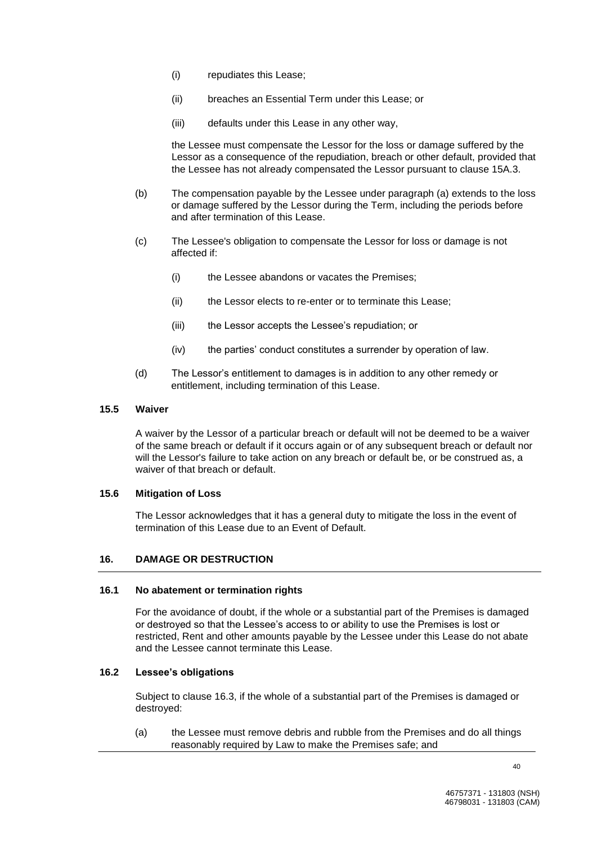- (i) repudiates this Lease;
- (ii) breaches an Essential Term under this Lease; or
- (iii) defaults under this Lease in any other way,

the Lessee must compensate the Lessor for the loss or damage suffered by the Lessor as a consequence of the repudiation, breach or other default, provided that the Lessee has not already compensated the Lessor pursuant to clause 15A.3.

- (b) The compensation payable by the Lessee under paragraph (a) extends to the loss or damage suffered by the Lessor during the Term, including the periods before and after termination of this Lease.
- (c) The Lessee's obligation to compensate the Lessor for loss or damage is not affected if:
	- (i) the Lessee abandons or vacates the Premises;
	- (ii) the Lessor elects to re-enter or to terminate this Lease;
	- (iii) the Lessor accepts the Lessee's repudiation; or
	- (iv) the parties' conduct constitutes a surrender by operation of law.
- (d) The Lessor's entitlement to damages is in addition to any other remedy or entitlement, including termination of this Lease.

#### **15.5 Waiver**

A waiver by the Lessor of a particular breach or default will not be deemed to be a waiver of the same breach or default if it occurs again or of any subsequent breach or default nor will the Lessor's failure to take action on any breach or default be, or be construed as, a waiver of that breach or default.

#### **15.6 Mitigation of Loss**

The Lessor acknowledges that it has a general duty to mitigate the loss in the event of termination of this Lease due to an Event of Default.

#### **16. DAMAGE OR DESTRUCTION**

#### **16.1 No abatement or termination rights**

For the avoidance of doubt, if the whole or a substantial part of the Premises is damaged or destroyed so that the Lessee's access to or ability to use the Premises is lost or restricted, Rent and other amounts payable by the Lessee under this Lease do not abate and the Lessee cannot terminate this Lease.

#### **16.2 Lessee's obligations**

Subject to clause 16.3, if the whole of a substantial part of the Premises is damaged or destroyed:

(a) the Lessee must remove debris and rubble from the Premises and do all things reasonably required by Law to make the Premises safe; and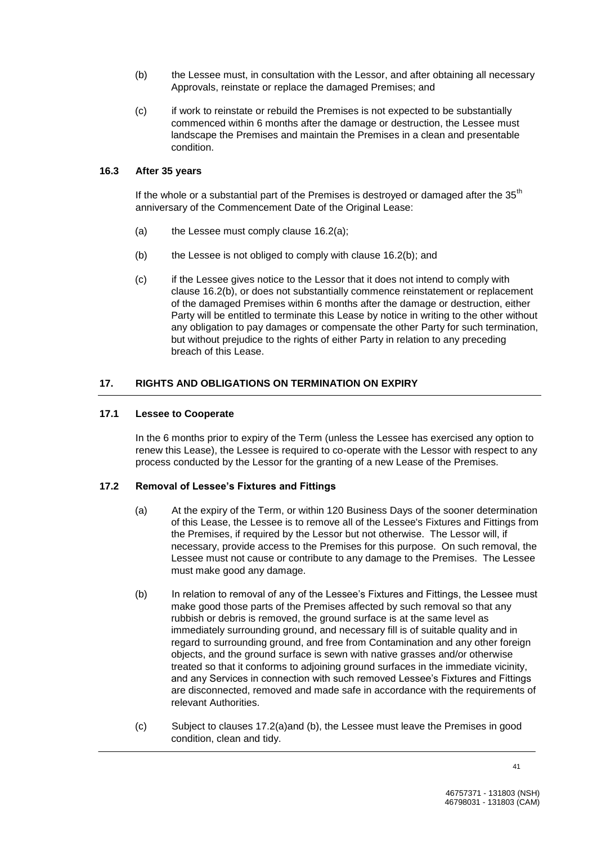- (b) the Lessee must, in consultation with the Lessor, and after obtaining all necessary Approvals, reinstate or replace the damaged Premises; and
- (c) if work to reinstate or rebuild the Premises is not expected to be substantially commenced within 6 months after the damage or destruction, the Lessee must landscape the Premises and maintain the Premises in a clean and presentable condition.

#### **16.3 After 35 years**

If the whole or a substantial part of the Premises is destroyed or damaged after the  $35<sup>th</sup>$ anniversary of the Commencement Date of the Original Lease:

- (a) the Lessee must comply clause 16.2(a);
- $(b)$  the Lessee is not obliged to comply with clause 16.2(b); and
- (c) if the Lessee gives notice to the Lessor that it does not intend to comply with clause 16.2(b), or does not substantially commence reinstatement or replacement of the damaged Premises within 6 months after the damage or destruction, either Party will be entitled to terminate this Lease by notice in writing to the other without any obligation to pay damages or compensate the other Party for such termination, but without prejudice to the rights of either Party in relation to any preceding breach of this Lease.

# **17. RIGHTS AND OBLIGATIONS ON TERMINATION ON EXPIRY**

#### **17.1 Lessee to Cooperate**

In the 6 months prior to expiry of the Term (unless the Lessee has exercised any option to renew this Lease), the Lessee is required to co-operate with the Lessor with respect to any process conducted by the Lessor for the granting of a new Lease of the Premises.

## **17.2 Removal of Lessee's Fixtures and Fittings**

- (a) At the expiry of the Term, or within 120 Business Days of the sooner determination of this Lease, the Lessee is to remove all of the Lessee's Fixtures and Fittings from the Premises, if required by the Lessor but not otherwise. The Lessor will, if necessary, provide access to the Premises for this purpose. On such removal, the Lessee must not cause or contribute to any damage to the Premises. The Lessee must make good any damage.
- (b) In relation to removal of any of the Lessee's Fixtures and Fittings, the Lessee must make good those parts of the Premises affected by such removal so that any rubbish or debris is removed, the ground surface is at the same level as immediately surrounding ground, and necessary fill is of suitable quality and in regard to surrounding ground, and free from Contamination and any other foreign objects, and the ground surface is sewn with native grasses and/or otherwise treated so that it conforms to adjoining ground surfaces in the immediate vicinity, and any Services in connection with such removed Lessee's Fixtures and Fittings are disconnected, removed and made safe in accordance with the requirements of relevant Authorities.
- (c) Subject to clauses 17.2(a)and (b), the Lessee must leave the Premises in good condition, clean and tidy.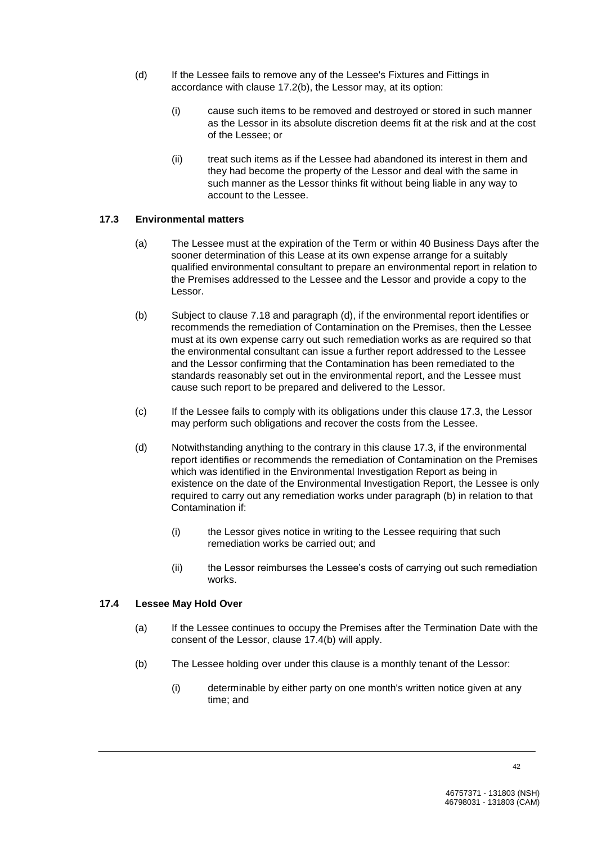- (d) If the Lessee fails to remove any of the Lessee's Fixtures and Fittings in accordance with clause 17.2(b), the Lessor may, at its option:
	- (i) cause such items to be removed and destroyed or stored in such manner as the Lessor in its absolute discretion deems fit at the risk and at the cost of the Lessee; or
	- (ii) treat such items as if the Lessee had abandoned its interest in them and they had become the property of the Lessor and deal with the same in such manner as the Lessor thinks fit without being liable in any way to account to the Lessee.

## **17.3 Environmental matters**

- (a) The Lessee must at the expiration of the Term or within 40 Business Days after the sooner determination of this Lease at its own expense arrange for a suitably qualified environmental consultant to prepare an environmental report in relation to the Premises addressed to the Lessee and the Lessor and provide a copy to the Lessor.
- (b) Subject to clause 7.18 and paragraph (d), if the environmental report identifies or recommends the remediation of Contamination on the Premises, then the Lessee must at its own expense carry out such remediation works as are required so that the environmental consultant can issue a further report addressed to the Lessee and the Lessor confirming that the Contamination has been remediated to the standards reasonably set out in the environmental report, and the Lessee must cause such report to be prepared and delivered to the Lessor.
- (c) If the Lessee fails to comply with its obligations under this clause 17.3, the Lessor may perform such obligations and recover the costs from the Lessee.
- (d) Notwithstanding anything to the contrary in this clause 17.3, if the environmental report identifies or recommends the remediation of Contamination on the Premises which was identified in the Environmental Investigation Report as being in existence on the date of the Environmental Investigation Report, the Lessee is only required to carry out any remediation works under paragraph (b) in relation to that Contamination if:
	- (i) the Lessor gives notice in writing to the Lessee requiring that such remediation works be carried out; and
	- (ii) the Lessor reimburses the Lessee's costs of carrying out such remediation works.

## **17.4 Lessee May Hold Over**

- (a) If the Lessee continues to occupy the Premises after the Termination Date with the consent of the Lessor, clause 17.4(b) will apply.
- (b) The Lessee holding over under this clause is a monthly tenant of the Lessor:
	- (i) determinable by either party on one month's written notice given at any time; and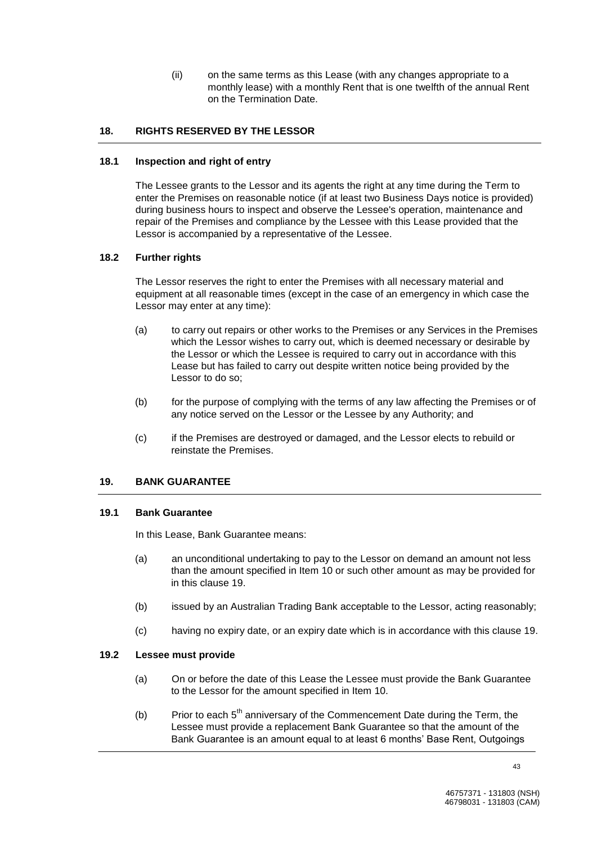(ii) on the same terms as this Lease (with any changes appropriate to a monthly lease) with a monthly Rent that is one twelfth of the annual Rent on the Termination Date.

## **18. RIGHTS RESERVED BY THE LESSOR**

## **18.1 Inspection and right of entry**

The Lessee grants to the Lessor and its agents the right at any time during the Term to enter the Premises on reasonable notice (if at least two Business Days notice is provided) during business hours to inspect and observe the Lessee's operation, maintenance and repair of the Premises and compliance by the Lessee with this Lease provided that the Lessor is accompanied by a representative of the Lessee.

#### **18.2 Further rights**

The Lessor reserves the right to enter the Premises with all necessary material and equipment at all reasonable times (except in the case of an emergency in which case the Lessor may enter at any time):

- (a) to carry out repairs or other works to the Premises or any Services in the Premises which the Lessor wishes to carry out, which is deemed necessary or desirable by the Lessor or which the Lessee is required to carry out in accordance with this Lease but has failed to carry out despite written notice being provided by the Lessor to do so;
- (b) for the purpose of complying with the terms of any law affecting the Premises or of any notice served on the Lessor or the Lessee by any Authority; and
- (c) if the Premises are destroyed or damaged, and the Lessor elects to rebuild or reinstate the Premises.

# **19. BANK GUARANTEE**

#### **19.1 Bank Guarantee**

In this Lease, Bank Guarantee means:

- (a) an unconditional undertaking to pay to the Lessor on demand an amount not less than the amount specified in Item 10 or such other amount as may be provided for in this clause 19.
- (b) issued by an Australian Trading Bank acceptable to the Lessor, acting reasonably;
- (c) having no expiry date, or an expiry date which is in accordance with this clause 19.

#### **19.2 Lessee must provide**

- (a) On or before the date of this Lease the Lessee must provide the Bank Guarantee to the Lessor for the amount specified in Item 10.
- (b) Prior to each  $5<sup>th</sup>$  anniversary of the Commencement Date during the Term, the Lessee must provide a replacement Bank Guarantee so that the amount of the Bank Guarantee is an amount equal to at least 6 months' Base Rent, Outgoings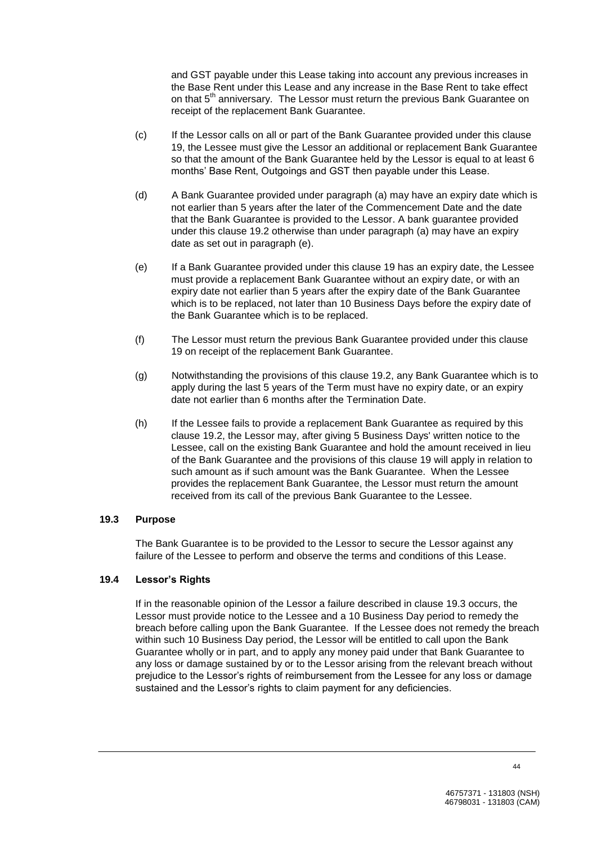and GST payable under this Lease taking into account any previous increases in the Base Rent under this Lease and any increase in the Base Rent to take effect on that 5<sup>th</sup> anniversary. The Lessor must return the previous Bank Guarantee on receipt of the replacement Bank Guarantee.

- (c) If the Lessor calls on all or part of the Bank Guarantee provided under this clause 19, the Lessee must give the Lessor an additional or replacement Bank Guarantee so that the amount of the Bank Guarantee held by the Lessor is equal to at least 6 months' Base Rent, Outgoings and GST then payable under this Lease.
- (d) A Bank Guarantee provided under paragraph (a) may have an expiry date which is not earlier than 5 years after the later of the Commencement Date and the date that the Bank Guarantee is provided to the Lessor. A bank guarantee provided under this clause 19.2 otherwise than under paragraph (a) may have an expiry date as set out in paragraph (e).
- (e) If a Bank Guarantee provided under this clause 19 has an expiry date, the Lessee must provide a replacement Bank Guarantee without an expiry date, or with an expiry date not earlier than 5 years after the expiry date of the Bank Guarantee which is to be replaced, not later than 10 Business Days before the expiry date of the Bank Guarantee which is to be replaced.
- (f) The Lessor must return the previous Bank Guarantee provided under this clause 19 on receipt of the replacement Bank Guarantee.
- (g) Notwithstanding the provisions of this clause 19.2, any Bank Guarantee which is to apply during the last 5 years of the Term must have no expiry date, or an expiry date not earlier than 6 months after the Termination Date.
- (h) If the Lessee fails to provide a replacement Bank Guarantee as required by this clause 19.2, the Lessor may, after giving 5 Business Days' written notice to the Lessee, call on the existing Bank Guarantee and hold the amount received in lieu of the Bank Guarantee and the provisions of this clause 19 will apply in relation to such amount as if such amount was the Bank Guarantee. When the Lessee provides the replacement Bank Guarantee, the Lessor must return the amount received from its call of the previous Bank Guarantee to the Lessee.

## **19.3 Purpose**

The Bank Guarantee is to be provided to the Lessor to secure the Lessor against any failure of the Lessee to perform and observe the terms and conditions of this Lease.

## **19.4 Lessor's Rights**

If in the reasonable opinion of the Lessor a failure described in clause 19.3 occurs, the Lessor must provide notice to the Lessee and a 10 Business Day period to remedy the breach before calling upon the Bank Guarantee. If the Lessee does not remedy the breach within such 10 Business Day period, the Lessor will be entitled to call upon the Bank Guarantee wholly or in part, and to apply any money paid under that Bank Guarantee to any loss or damage sustained by or to the Lessor arising from the relevant breach without prejudice to the Lessor's rights of reimbursement from the Lessee for any loss or damage sustained and the Lessor's rights to claim payment for any deficiencies.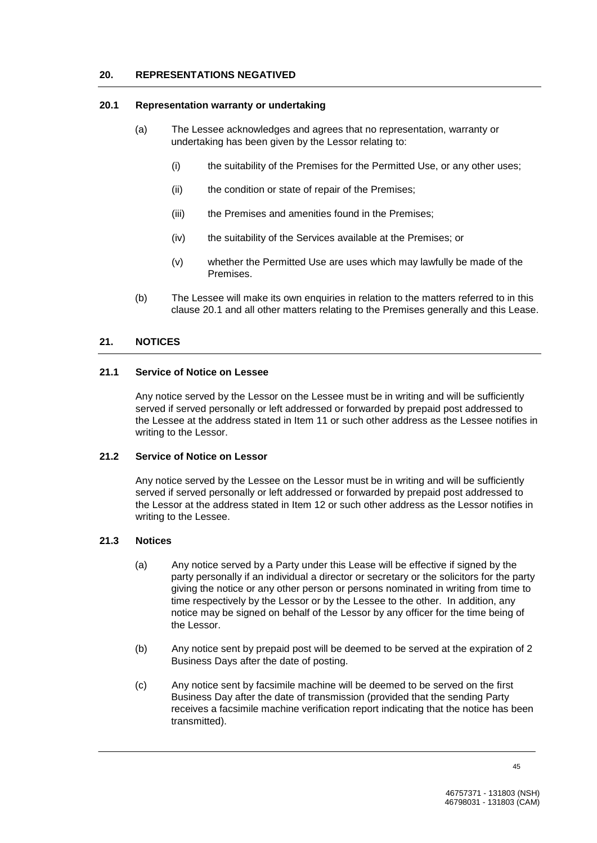#### **20. REPRESENTATIONS NEGATIVED**

#### **20.1 Representation warranty or undertaking**

- (a) The Lessee acknowledges and agrees that no representation, warranty or undertaking has been given by the Lessor relating to:
	- (i) the suitability of the Premises for the Permitted Use, or any other uses;
	- (ii) the condition or state of repair of the Premises;
	- (iii) the Premises and amenities found in the Premises;
	- (iv) the suitability of the Services available at the Premises; or
	- (v) whether the Permitted Use are uses which may lawfully be made of the Premises.
- (b) The Lessee will make its own enquiries in relation to the matters referred to in this clause 20.1 and all other matters relating to the Premises generally and this Lease.

## **21. NOTICES**

#### **21.1 Service of Notice on Lessee**

Any notice served by the Lessor on the Lessee must be in writing and will be sufficiently served if served personally or left addressed or forwarded by prepaid post addressed to the Lessee at the address stated in Item 11 or such other address as the Lessee notifies in writing to the Lessor.

#### **21.2 Service of Notice on Lessor**

Any notice served by the Lessee on the Lessor must be in writing and will be sufficiently served if served personally or left addressed or forwarded by prepaid post addressed to the Lessor at the address stated in Item 12 or such other address as the Lessor notifies in writing to the Lessee.

#### **21.3 Notices**

- (a) Any notice served by a Party under this Lease will be effective if signed by the party personally if an individual a director or secretary or the solicitors for the party giving the notice or any other person or persons nominated in writing from time to time respectively by the Lessor or by the Lessee to the other. In addition, any notice may be signed on behalf of the Lessor by any officer for the time being of the Lessor.
- (b) Any notice sent by prepaid post will be deemed to be served at the expiration of 2 Business Days after the date of posting.
- (c) Any notice sent by facsimile machine will be deemed to be served on the first Business Day after the date of transmission (provided that the sending Party receives a facsimile machine verification report indicating that the notice has been transmitted).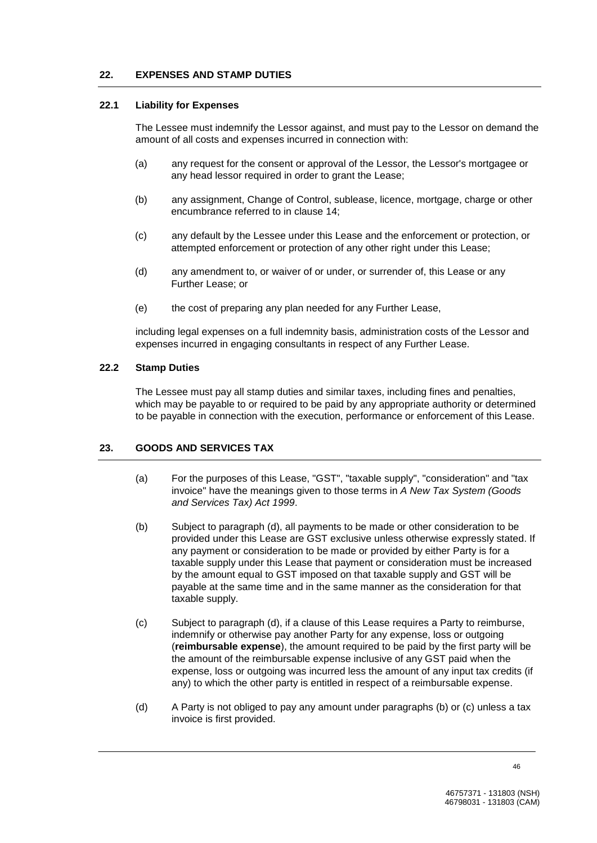#### **22. EXPENSES AND STAMP DUTIES**

#### **22.1 Liability for Expenses**

The Lessee must indemnify the Lessor against, and must pay to the Lessor on demand the amount of all costs and expenses incurred in connection with:

- (a) any request for the consent or approval of the Lessor, the Lessor's mortgagee or any head lessor required in order to grant the Lease;
- (b) any assignment, Change of Control, sublease, licence, mortgage, charge or other encumbrance referred to in clause 14;
- (c) any default by the Lessee under this Lease and the enforcement or protection, or attempted enforcement or protection of any other right under this Lease;
- (d) any amendment to, or waiver of or under, or surrender of, this Lease or any Further Lease; or
- (e) the cost of preparing any plan needed for any Further Lease,

including legal expenses on a full indemnity basis, administration costs of the Lessor and expenses incurred in engaging consultants in respect of any Further Lease.

#### **22.2 Stamp Duties**

The Lessee must pay all stamp duties and similar taxes, including fines and penalties, which may be payable to or required to be paid by any appropriate authority or determined to be payable in connection with the execution, performance or enforcement of this Lease.

#### **23. GOODS AND SERVICES TAX**

- (a) For the purposes of this Lease, "GST", "taxable supply", "consideration" and "tax invoice" have the meanings given to those terms in *A New Tax System (Goods and Services Tax) Act 1999*.
- (b) Subject to paragraph (d), all payments to be made or other consideration to be provided under this Lease are GST exclusive unless otherwise expressly stated. If any payment or consideration to be made or provided by either Party is for a taxable supply under this Lease that payment or consideration must be increased by the amount equal to GST imposed on that taxable supply and GST will be payable at the same time and in the same manner as the consideration for that taxable supply.
- (c) Subject to paragraph (d), if a clause of this Lease requires a Party to reimburse, indemnify or otherwise pay another Party for any expense, loss or outgoing (**reimbursable expense**), the amount required to be paid by the first party will be the amount of the reimbursable expense inclusive of any GST paid when the expense, loss or outgoing was incurred less the amount of any input tax credits (if any) to which the other party is entitled in respect of a reimbursable expense.
- (d) A Party is not obliged to pay any amount under paragraphs (b) or (c) unless a tax invoice is first provided.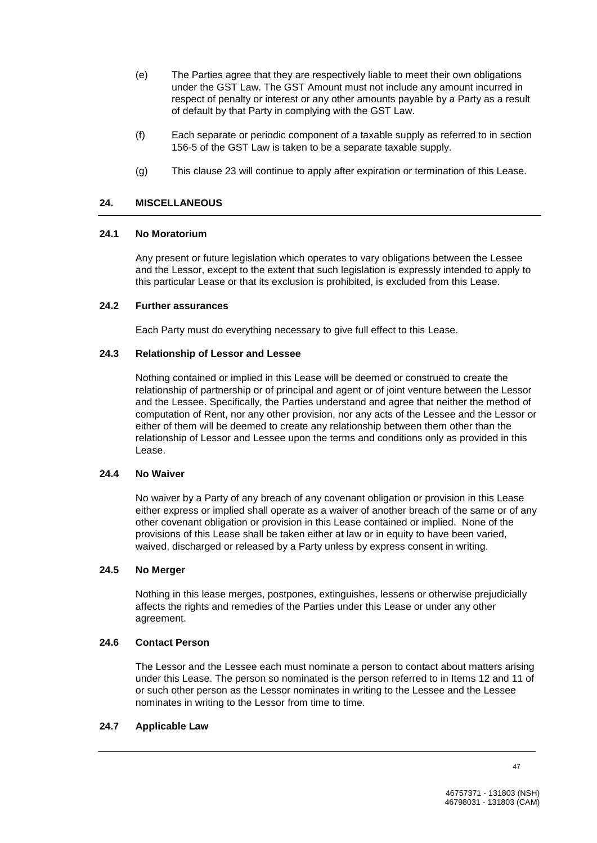- (e) The Parties agree that they are respectively liable to meet their own obligations under the GST Law. The GST Amount must not include any amount incurred in respect of penalty or interest or any other amounts payable by a Party as a result of default by that Party in complying with the GST Law.
- (f) Each separate or periodic component of a taxable supply as referred to in section 156-5 of the GST Law is taken to be a separate taxable supply.
- (g) This clause 23 will continue to apply after expiration or termination of this Lease.

## **24. MISCELLANEOUS**

## **24.1 No Moratorium**

Any present or future legislation which operates to vary obligations between the Lessee and the Lessor, except to the extent that such legislation is expressly intended to apply to this particular Lease or that its exclusion is prohibited, is excluded from this Lease.

## **24.2 Further assurances**

Each Party must do everything necessary to give full effect to this Lease.

## **24.3 Relationship of Lessor and Lessee**

Nothing contained or implied in this Lease will be deemed or construed to create the relationship of partnership or of principal and agent or of joint venture between the Lessor and the Lessee. Specifically, the Parties understand and agree that neither the method of computation of Rent, nor any other provision, nor any acts of the Lessee and the Lessor or either of them will be deemed to create any relationship between them other than the relationship of Lessor and Lessee upon the terms and conditions only as provided in this Lease.

## **24.4 No Waiver**

No waiver by a Party of any breach of any covenant obligation or provision in this Lease either express or implied shall operate as a waiver of another breach of the same or of any other covenant obligation or provision in this Lease contained or implied. None of the provisions of this Lease shall be taken either at law or in equity to have been varied, waived, discharged or released by a Party unless by express consent in writing.

#### **24.5 No Merger**

Nothing in this lease merges, postpones, extinguishes, lessens or otherwise prejudicially affects the rights and remedies of the Parties under this Lease or under any other agreement.

## **24.6 Contact Person**

The Lessor and the Lessee each must nominate a person to contact about matters arising under this Lease. The person so nominated is the person referred to in Items 12 and 11 of or such other person as the Lessor nominates in writing to the Lessee and the Lessee nominates in writing to the Lessor from time to time.

#### **24.7 Applicable Law**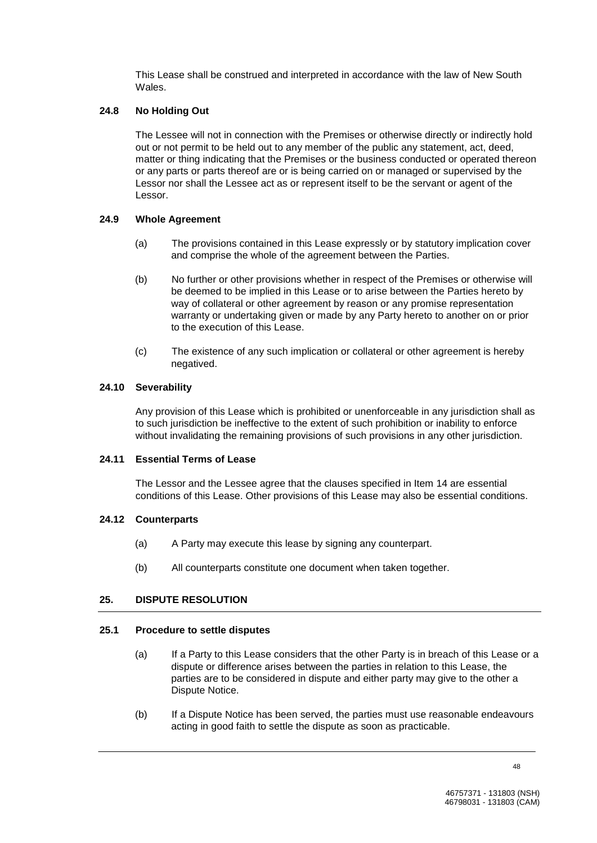This Lease shall be construed and interpreted in accordance with the law of New South Wales.

## **24.8 No Holding Out**

The Lessee will not in connection with the Premises or otherwise directly or indirectly hold out or not permit to be held out to any member of the public any statement, act, deed, matter or thing indicating that the Premises or the business conducted or operated thereon or any parts or parts thereof are or is being carried on or managed or supervised by the Lessor nor shall the Lessee act as or represent itself to be the servant or agent of the Lessor.

#### **24.9 Whole Agreement**

- (a) The provisions contained in this Lease expressly or by statutory implication cover and comprise the whole of the agreement between the Parties.
- (b) No further or other provisions whether in respect of the Premises or otherwise will be deemed to be implied in this Lease or to arise between the Parties hereto by way of collateral or other agreement by reason or any promise representation warranty or undertaking given or made by any Party hereto to another on or prior to the execution of this Lease.
- (c) The existence of any such implication or collateral or other agreement is hereby negatived.

#### **24.10 Severability**

Any provision of this Lease which is prohibited or unenforceable in any jurisdiction shall as to such jurisdiction be ineffective to the extent of such prohibition or inability to enforce without invalidating the remaining provisions of such provisions in any other jurisdiction.

#### **24.11 Essential Terms of Lease**

The Lessor and the Lessee agree that the clauses specified in Item 14 are essential conditions of this Lease. Other provisions of this Lease may also be essential conditions.

## **24.12 Counterparts**

- (a) A Party may execute this lease by signing any counterpart.
- (b) All counterparts constitute one document when taken together.

## **25. DISPUTE RESOLUTION**

#### **25.1 Procedure to settle disputes**

- (a) If a Party to this Lease considers that the other Party is in breach of this Lease or a dispute or difference arises between the parties in relation to this Lease, the parties are to be considered in dispute and either party may give to the other a Dispute Notice.
- (b) If a Dispute Notice has been served, the parties must use reasonable endeavours acting in good faith to settle the dispute as soon as practicable.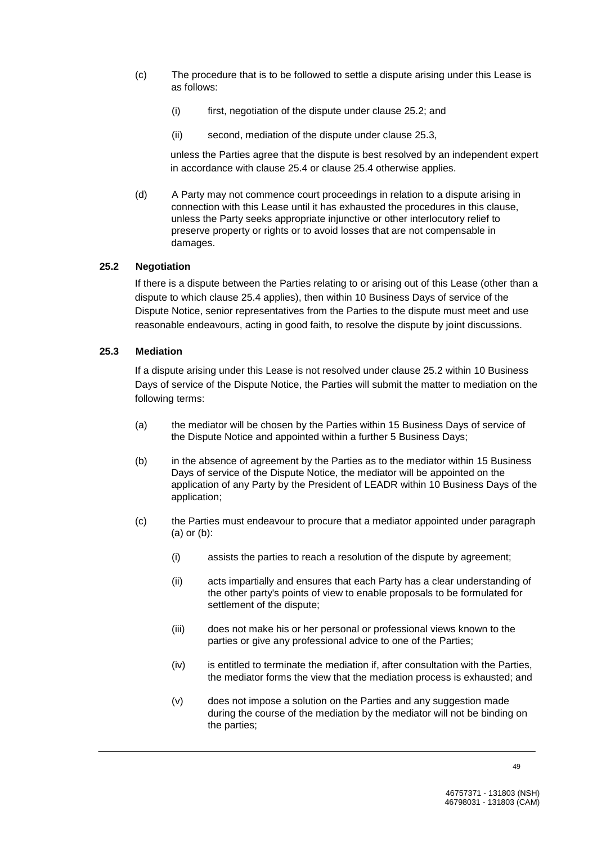- (c) The procedure that is to be followed to settle a dispute arising under this Lease is as follows:
	- (i) first, negotiation of the dispute under clause 25.2; and
	- (ii) second, mediation of the dispute under clause 25.3,

unless the Parties agree that the dispute is best resolved by an independent expert in accordance with clause 25.4 or clause 25.4 otherwise applies.

(d) A Party may not commence court proceedings in relation to a dispute arising in connection with this Lease until it has exhausted the procedures in this clause, unless the Party seeks appropriate injunctive or other interlocutory relief to preserve property or rights or to avoid losses that are not compensable in damages.

# **25.2 Negotiation**

If there is a dispute between the Parties relating to or arising out of this Lease (other than a dispute to which clause 25.4 applies), then within 10 Business Days of service of the Dispute Notice, senior representatives from the Parties to the dispute must meet and use reasonable endeavours, acting in good faith, to resolve the dispute by joint discussions.

# **25.3 Mediation**

If a dispute arising under this Lease is not resolved under clause 25.2 within 10 Business Days of service of the Dispute Notice, the Parties will submit the matter to mediation on the following terms:

- (a) the mediator will be chosen by the Parties within 15 Business Days of service of the Dispute Notice and appointed within a further 5 Business Days;
- (b) in the absence of agreement by the Parties as to the mediator within 15 Business Days of service of the Dispute Notice, the mediator will be appointed on the application of any Party by the President of LEADR within 10 Business Days of the application;
- (c) the Parties must endeavour to procure that a mediator appointed under paragraph (a) or (b):
	- (i) assists the parties to reach a resolution of the dispute by agreement;
	- (ii) acts impartially and ensures that each Party has a clear understanding of the other party's points of view to enable proposals to be formulated for settlement of the dispute;
	- (iii) does not make his or her personal or professional views known to the parties or give any professional advice to one of the Parties;
	- (iv) is entitled to terminate the mediation if, after consultation with the Parties, the mediator forms the view that the mediation process is exhausted; and
	- (v) does not impose a solution on the Parties and any suggestion made during the course of the mediation by the mediator will not be binding on the parties;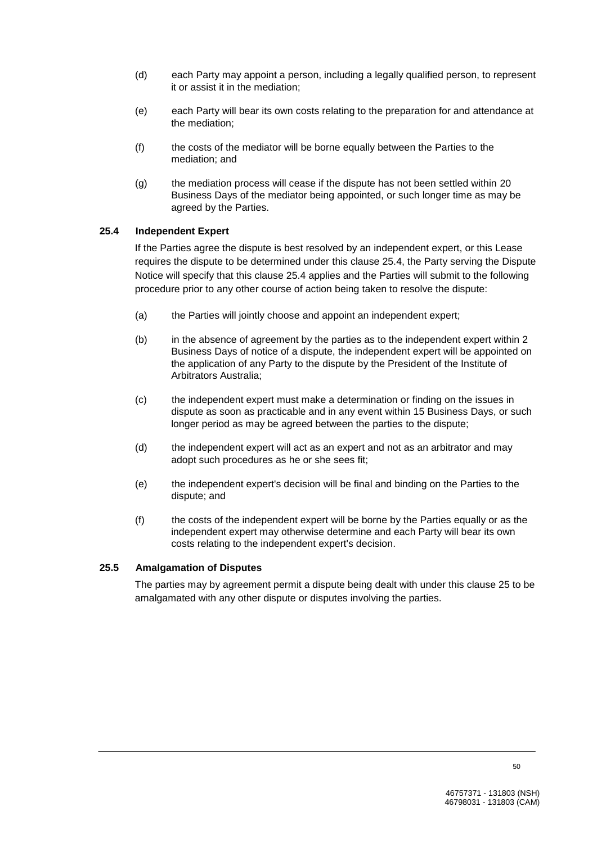- (d) each Party may appoint a person, including a legally qualified person, to represent it or assist it in the mediation;
- (e) each Party will bear its own costs relating to the preparation for and attendance at the mediation;
- (f) the costs of the mediator will be borne equally between the Parties to the mediation; and
- (g) the mediation process will cease if the dispute has not been settled within 20 Business Days of the mediator being appointed, or such longer time as may be agreed by the Parties.

## **25.4 Independent Expert**

If the Parties agree the dispute is best resolved by an independent expert, or this Lease requires the dispute to be determined under this clause 25.4, the Party serving the Dispute Notice will specify that this clause 25.4 applies and the Parties will submit to the following procedure prior to any other course of action being taken to resolve the dispute:

- (a) the Parties will jointly choose and appoint an independent expert;
- (b) in the absence of agreement by the parties as to the independent expert within 2 Business Days of notice of a dispute, the independent expert will be appointed on the application of any Party to the dispute by the President of the Institute of Arbitrators Australia;
- (c) the independent expert must make a determination or finding on the issues in dispute as soon as practicable and in any event within 15 Business Days, or such longer period as may be agreed between the parties to the dispute;
- (d) the independent expert will act as an expert and not as an arbitrator and may adopt such procedures as he or she sees fit;
- (e) the independent expert's decision will be final and binding on the Parties to the dispute; and
- (f) the costs of the independent expert will be borne by the Parties equally or as the independent expert may otherwise determine and each Party will bear its own costs relating to the independent expert's decision.

## **25.5 Amalgamation of Disputes**

The parties may by agreement permit a dispute being dealt with under this clause 25 to be amalgamated with any other dispute or disputes involving the parties.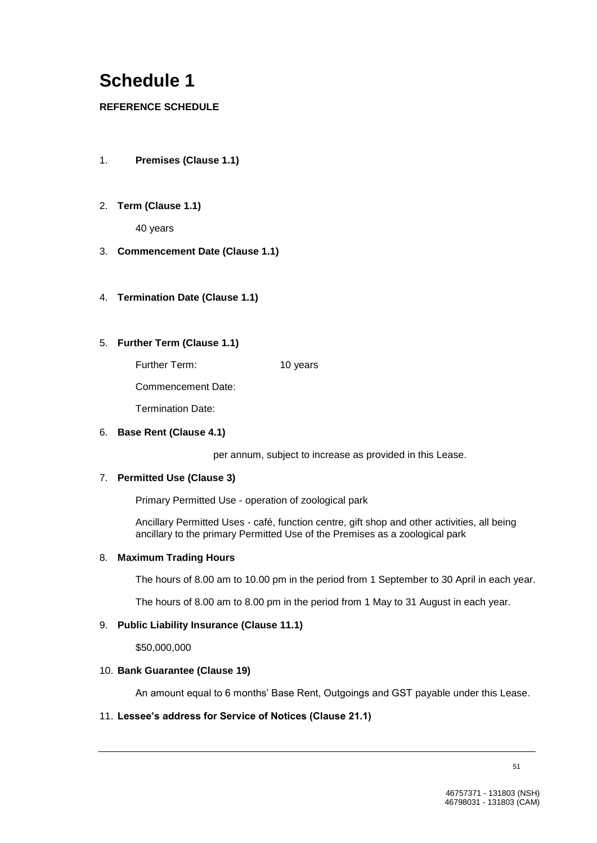# **Schedule 1**

# **REFERENCE SCHEDULE**

- 1. **Premises (Clause 1.1)**
- 2. **Term (Clause 1.1)**

40 years

- 3. **Commencement Date (Clause 1.1)**
- 4. **Termination Date (Clause 1.1)**
- 5. **Further Term (Clause 1.1)**

Further Term: 10 years

Commencement Date:

Termination Date:

## 6. **Base Rent (Clause 4.1)**

per annum, subject to increase as provided in this Lease.

# 7. **Permitted Use (Clause 3)**

Primary Permitted Use - operation of zoological park

Ancillary Permitted Uses - café, function centre, gift shop and other activities, all being ancillary to the primary Permitted Use of the Premises as a zoological park

## 8. **Maximum Trading Hours**

The hours of 8.00 am to 10.00 pm in the period from 1 September to 30 April in each year.

The hours of 8.00 am to 8.00 pm in the period from 1 May to 31 August in each year.

## 9. **Public Liability Insurance (Clause 11.1)**

\$50,000,000

## 10. **Bank Guarantee (Clause 19)**

An amount equal to 6 months' Base Rent, Outgoings and GST payable under this Lease.

## 11. **Lessee's address for Service of Notices (Clause 21.1)**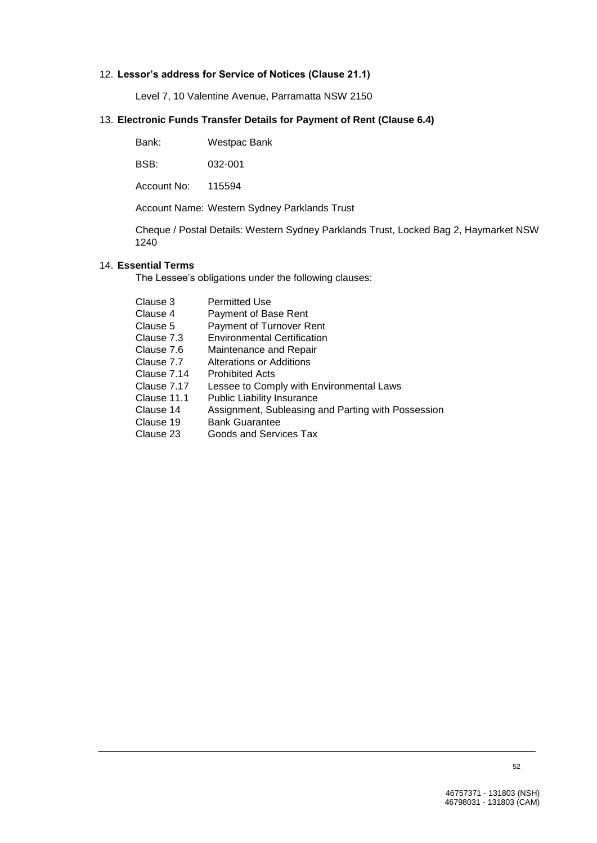# 12. **Lessor's address for Service of Notices (Clause 21.1)**

Level 7, 10 Valentine Avenue, Parramatta NSW 2150

# 13. **Electronic Funds Transfer Details for Payment of Rent (Clause 6.4)**

BSB: 032-001

Account No: 115594

Account Name: Western Sydney Parklands Trust

Cheque / Postal Details: Western Sydney Parklands Trust, Locked Bag 2, Haymarket NSW 1240

## 14. **Essential Terms**

The Lessee's obligations under the following clauses:

| Clause 3    | <b>Permitted Use</b>                               |
|-------------|----------------------------------------------------|
| Clause 4    | Payment of Base Rent                               |
| Clause 5    | Payment of Turnover Rent                           |
| Clause 7.3  | <b>Environmental Certification</b>                 |
| Clause 7.6  | Maintenance and Repair                             |
| Clause 7.7  | Alterations or Additions                           |
| Clause 7.14 | <b>Prohibited Acts</b>                             |
| Clause 7.17 | Lessee to Comply with Environmental Laws           |
| Clause 11.1 | <b>Public Liability Insurance</b>                  |
| Clause 14   | Assignment, Subleasing and Parting with Possession |
| Clause 19   | <b>Bank Guarantee</b>                              |
| Clause 23   | Goods and Services Tax                             |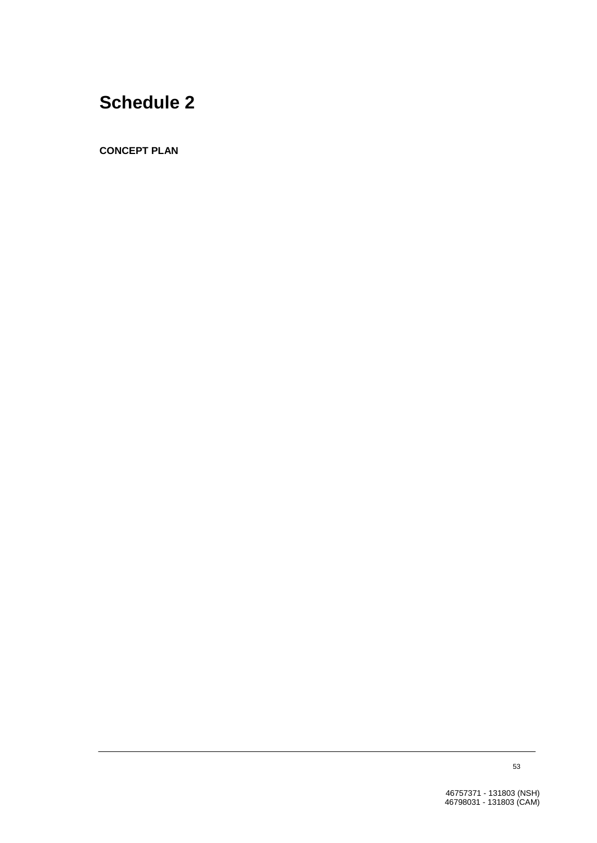# **Schedule 2**

**CONCEPT PLAN**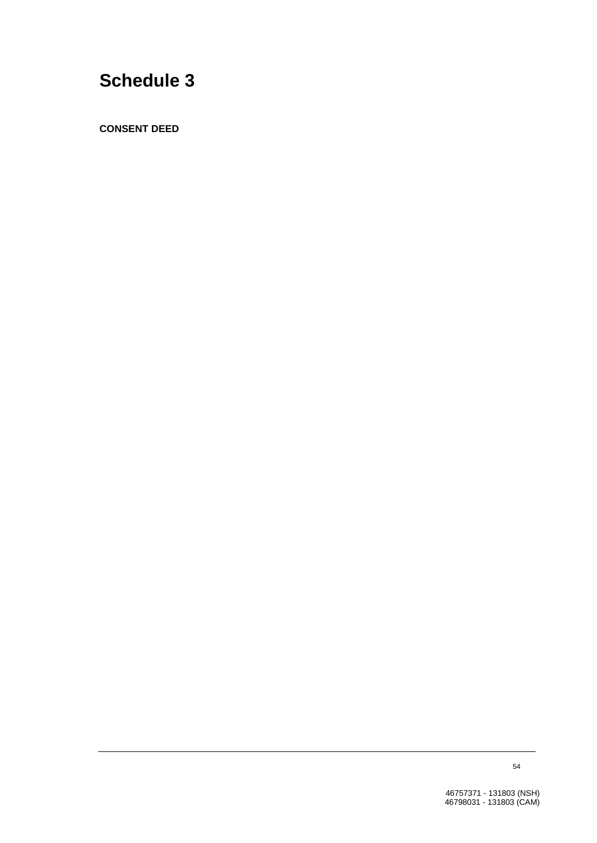# **Schedule 3**

**CONSENT DEED**